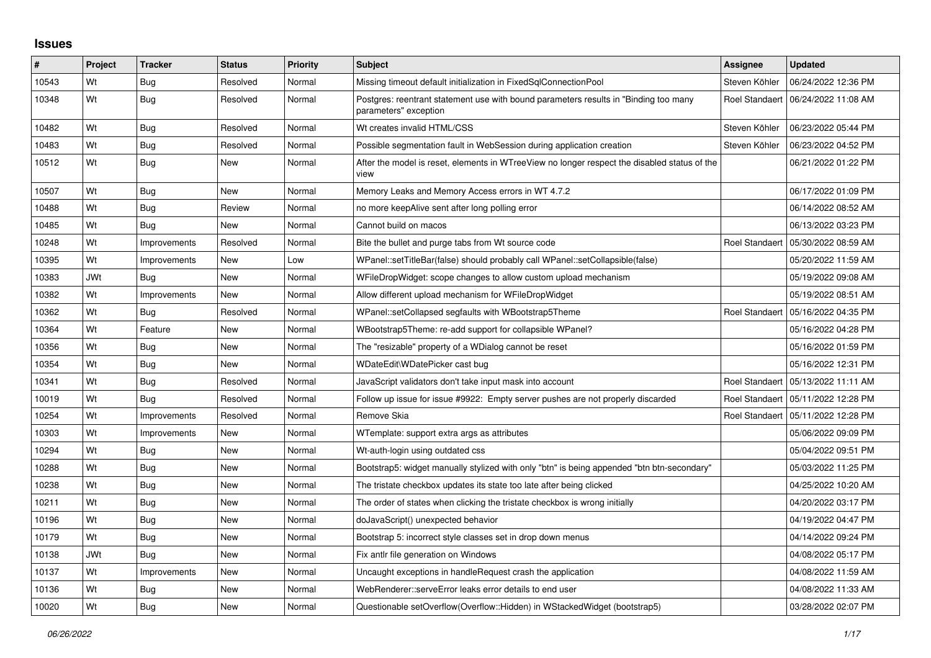## **Issues**

| #     | Project    | <b>Tracker</b> | <b>Status</b> | <b>Priority</b> | <b>Subject</b>                                                                                                | Assignee              | <b>Updated</b>                       |
|-------|------------|----------------|---------------|-----------------|---------------------------------------------------------------------------------------------------------------|-----------------------|--------------------------------------|
| 10543 | Wt         | Bug            | Resolved      | Normal          | Missing timeout default initialization in FixedSqlConnectionPool                                              | Steven Köhler         | 06/24/2022 12:36 PM                  |
| 10348 | Wt         | <b>Bug</b>     | Resolved      | Normal          | Postgres: reentrant statement use with bound parameters results in "Binding too many<br>parameters" exception |                       | Roel Standaert   06/24/2022 11:08 AM |
| 10482 | Wt         | <b>Bug</b>     | Resolved      | Normal          | Wt creates invalid HTML/CSS                                                                                   | Steven Köhler         | 06/23/2022 05:44 PM                  |
| 10483 | Wt         | <b>Bug</b>     | Resolved      | Normal          | Possible segmentation fault in WebSession during application creation                                         | Steven Köhler         | 06/23/2022 04:52 PM                  |
| 10512 | Wt         | <b>Bug</b>     | New           | Normal          | After the model is reset, elements in WTreeView no longer respect the disabled status of the<br>view          |                       | 06/21/2022 01:22 PM                  |
| 10507 | Wt         | Bug            | <b>New</b>    | Normal          | Memory Leaks and Memory Access errors in WT 4.7.2                                                             |                       | 06/17/2022 01:09 PM                  |
| 10488 | Wt         | <b>Bug</b>     | Review        | Normal          | no more keepAlive sent after long polling error                                                               |                       | 06/14/2022 08:52 AM                  |
| 10485 | Wt         | Bug            | New           | Normal          | Cannot build on macos                                                                                         |                       | 06/13/2022 03:23 PM                  |
| 10248 | Wt         | Improvements   | Resolved      | Normal          | Bite the bullet and purge tabs from Wt source code                                                            | Roel Standaert        | 05/30/2022 08:59 AM                  |
| 10395 | Wt         | Improvements   | <b>New</b>    | Low             | WPanel::setTitleBar(false) should probably call WPanel::setCollapsible(false)                                 |                       | 05/20/2022 11:59 AM                  |
| 10383 | <b>JWt</b> | Bug            | New           | Normal          | WFileDropWidget: scope changes to allow custom upload mechanism                                               |                       | 05/19/2022 09:08 AM                  |
| 10382 | Wt         | Improvements   | New           | Normal          | Allow different upload mechanism for WFileDropWidget                                                          |                       | 05/19/2022 08:51 AM                  |
| 10362 | Wt         | Bug            | Resolved      | Normal          | WPanel::setCollapsed segfaults with WBootstrap5Theme                                                          | <b>Roel Standaert</b> | 05/16/2022 04:35 PM                  |
| 10364 | Wt         | Feature        | New           | Normal          | WBootstrap5Theme: re-add support for collapsible WPanel?                                                      |                       | 05/16/2022 04:28 PM                  |
| 10356 | Wt         | Bug            | New           | Normal          | The "resizable" property of a WDialog cannot be reset                                                         |                       | 05/16/2022 01:59 PM                  |
| 10354 | Wt         | <b>Bug</b>     | New           | Normal          | WDateEdit\WDatePicker cast bug                                                                                |                       | 05/16/2022 12:31 PM                  |
| 10341 | Wt         | <b>Bug</b>     | Resolved      | Normal          | JavaScript validators don't take input mask into account                                                      | Roel Standaert        | 05/13/2022 11:11 AM                  |
| 10019 | Wt         | Bug            | Resolved      | Normal          | Follow up issue for issue #9922: Empty server pushes are not properly discarded                               |                       | Roel Standaert   05/11/2022 12:28 PM |
| 10254 | Wt         | Improvements   | Resolved      | Normal          | Remove Skia                                                                                                   |                       | Roel Standaert   05/11/2022 12:28 PM |
| 10303 | Wt         | Improvements   | <b>New</b>    | Normal          | WTemplate: support extra args as attributes                                                                   |                       | 05/06/2022 09:09 PM                  |
| 10294 | Wt         | Bug            | New           | Normal          | Wt-auth-login using outdated css                                                                              |                       | 05/04/2022 09:51 PM                  |
| 10288 | Wt         | <b>Bug</b>     | New           | Normal          | Bootstrap5: widget manually stylized with only "btn" is being appended "btn btn-secondary"                    |                       | 05/03/2022 11:25 PM                  |
| 10238 | Wt         | Bug            | <b>New</b>    | Normal          | The tristate checkbox updates its state too late after being clicked                                          |                       | 04/25/2022 10:20 AM                  |
| 10211 | Wt         | <b>Bug</b>     | New           | Normal          | The order of states when clicking the tristate checkbox is wrong initially                                    |                       | 04/20/2022 03:17 PM                  |
| 10196 | Wt         | Bug            | New           | Normal          | doJavaScript() unexpected behavior                                                                            |                       | 04/19/2022 04:47 PM                  |
| 10179 | Wt         | <b>Bug</b>     | <b>New</b>    | Normal          | Bootstrap 5: incorrect style classes set in drop down menus                                                   |                       | 04/14/2022 09:24 PM                  |
| 10138 | <b>JWt</b> | <b>Bug</b>     | <b>New</b>    | Normal          | Fix antlr file generation on Windows                                                                          |                       | 04/08/2022 05:17 PM                  |
| 10137 | Wt         | Improvements   | New           | Normal          | Uncaught exceptions in handleRequest crash the application                                                    |                       | 04/08/2022 11:59 AM                  |
| 10136 | Wt         | <b>Bug</b>     | New           | Normal          | WebRenderer::serveError leaks error details to end user                                                       |                       | 04/08/2022 11:33 AM                  |
| 10020 | Wt         | <b>Bug</b>     | <b>New</b>    | Normal          | Questionable setOverflow(Overflow::Hidden) in WStackedWidget (bootstrap5)                                     |                       | 03/28/2022 02:07 PM                  |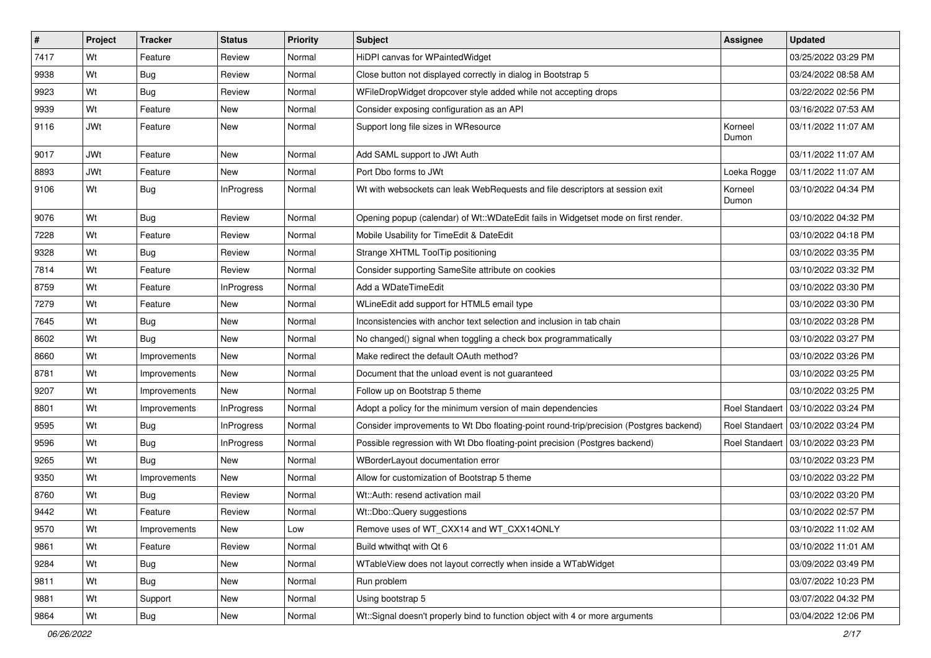| $\vert$ # | Project    | <b>Tracker</b> | <b>Status</b>     | Priority | <b>Subject</b>                                                                         | Assignee         | <b>Updated</b>                       |
|-----------|------------|----------------|-------------------|----------|----------------------------------------------------------------------------------------|------------------|--------------------------------------|
| 7417      | Wt         | Feature        | Review            | Normal   | HiDPI canvas for WPaintedWidget                                                        |                  | 03/25/2022 03:29 PM                  |
| 9938      | Wt         | Bug            | Review            | Normal   | Close button not displayed correctly in dialog in Bootstrap 5                          |                  | 03/24/2022 08:58 AM                  |
| 9923      | Wt         | Bug            | Review            | Normal   | WFileDropWidget dropcover style added while not accepting drops                        |                  | 03/22/2022 02:56 PM                  |
| 9939      | Wt         | Feature        | New               | Normal   | Consider exposing configuration as an API                                              |                  | 03/16/2022 07:53 AM                  |
| 9116      | <b>JWt</b> | Feature        | <b>New</b>        | Normal   | Support long file sizes in WResource                                                   | Korneel<br>Dumon | 03/11/2022 11:07 AM                  |
| 9017      | <b>JWt</b> | Feature        | <b>New</b>        | Normal   | Add SAML support to JWt Auth                                                           |                  | 03/11/2022 11:07 AM                  |
| 8893      | <b>JWt</b> | Feature        | <b>New</b>        | Normal   | Port Dbo forms to JWt                                                                  | Loeka Rogge      | 03/11/2022 11:07 AM                  |
| 9106      | Wt         | Bug            | <b>InProgress</b> | Normal   | Wt with websockets can leak WebRequests and file descriptors at session exit           | Korneel<br>Dumon | 03/10/2022 04:34 PM                  |
| 9076      | Wt         | <b>Bug</b>     | Review            | Normal   | Opening popup (calendar) of Wt::WDateEdit fails in Widgetset mode on first render.     |                  | 03/10/2022 04:32 PM                  |
| 7228      | Wt         | Feature        | Review            | Normal   | Mobile Usability for TimeEdit & DateEdit                                               |                  | 03/10/2022 04:18 PM                  |
| 9328      | Wt         | Bug            | Review            | Normal   | Strange XHTML ToolTip positioning                                                      |                  | 03/10/2022 03:35 PM                  |
| 7814      | Wt         | Feature        | Review            | Normal   | Consider supporting SameSite attribute on cookies                                      |                  | 03/10/2022 03:32 PM                  |
| 8759      | Wt         | Feature        | InProgress        | Normal   | Add a WDateTimeEdit                                                                    |                  | 03/10/2022 03:30 PM                  |
| 7279      | Wt         | Feature        | <b>New</b>        | Normal   | WLineEdit add support for HTML5 email type                                             |                  | 03/10/2022 03:30 PM                  |
| 7645      | Wt         | <b>Bug</b>     | New               | Normal   | Inconsistencies with anchor text selection and inclusion in tab chain                  |                  | 03/10/2022 03:28 PM                  |
| 8602      | Wt         | Bug            | <b>New</b>        | Normal   | No changed() signal when toggling a check box programmatically                         |                  | 03/10/2022 03:27 PM                  |
| 8660      | Wt         | Improvements   | New               | Normal   | Make redirect the default OAuth method?                                                |                  | 03/10/2022 03:26 PM                  |
| 8781      | Wt         | Improvements   | New               | Normal   | Document that the unload event is not guaranteed                                       |                  | 03/10/2022 03:25 PM                  |
| 9207      | Wt         | Improvements   | <b>New</b>        | Normal   | Follow up on Bootstrap 5 theme                                                         |                  | 03/10/2022 03:25 PM                  |
| 8801      | Wt         | Improvements   | <b>InProgress</b> | Normal   | Adopt a policy for the minimum version of main dependencies                            | Roel Standaert   | 03/10/2022 03:24 PM                  |
| 9595      | Wt         | <b>Bug</b>     | <b>InProgress</b> | Normal   | Consider improvements to Wt Dbo floating-point round-trip/precision (Postgres backend) |                  | Roel Standaert   03/10/2022 03:24 PM |
| 9596      | Wt         | Bug            | InProgress        | Normal   | Possible regression with Wt Dbo floating-point precision (Postgres backend)            | Roel Standaert   | 03/10/2022 03:23 PM                  |
| 9265      | Wt         | <b>Bug</b>     | <b>New</b>        | Normal   | WBorderLayout documentation error                                                      |                  | 03/10/2022 03:23 PM                  |
| 9350      | Wt         | Improvements   | New               | Normal   | Allow for customization of Bootstrap 5 theme                                           |                  | 03/10/2022 03:22 PM                  |
| 8760      | Wt         | <b>Bug</b>     | Review            | Normal   | Wt::Auth: resend activation mail                                                       |                  | 03/10/2022 03:20 PM                  |
| 9442      | Wt         | Feature        | Review            | Normal   | Wt::Dbo::Query suggestions                                                             |                  | 03/10/2022 02:57 PM                  |
| 9570      | Wt         | Improvements   | New               | Low      | Remove uses of WT_CXX14 and WT_CXX14ONLY                                               |                  | 03/10/2022 11:02 AM                  |
| 9861      | Wt         | Feature        | Review            | Normal   | Build wtwithqt with Qt 6                                                               |                  | 03/10/2022 11:01 AM                  |
| 9284      | Wt         | <b>Bug</b>     | New               | Normal   | WTableView does not layout correctly when inside a WTabWidget                          |                  | 03/09/2022 03:49 PM                  |
| 9811      | Wt         | Bug            | New               | Normal   | Run problem                                                                            |                  | 03/07/2022 10:23 PM                  |
| 9881      | Wt         | Support        | New               | Normal   | Using bootstrap 5                                                                      |                  | 03/07/2022 04:32 PM                  |
| 9864      | Wt         | <b>Bug</b>     | New               | Normal   | Wt::Signal doesn't properly bind to function object with 4 or more arguments           |                  | 03/04/2022 12:06 PM                  |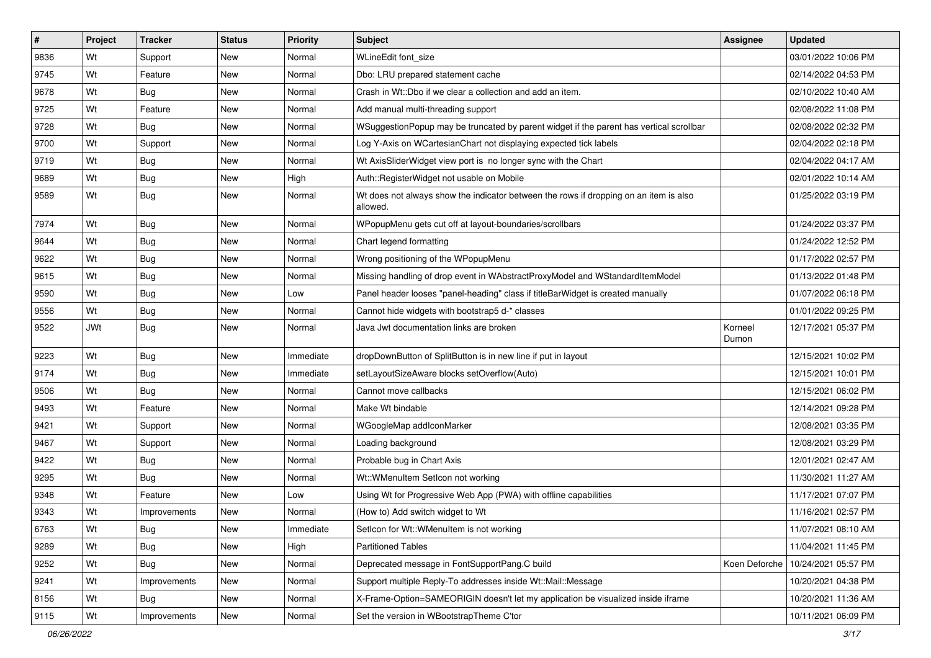| $\vert$ # | Project    | <b>Tracker</b> | <b>Status</b> | Priority  | <b>Subject</b>                                                                                    | Assignee         | <b>Updated</b>      |
|-----------|------------|----------------|---------------|-----------|---------------------------------------------------------------------------------------------------|------------------|---------------------|
| 9836      | Wt         | Support        | New           | Normal    | WLineEdit font_size                                                                               |                  | 03/01/2022 10:06 PM |
| 9745      | Wt         | Feature        | <b>New</b>    | Normal    | Dbo: LRU prepared statement cache                                                                 |                  | 02/14/2022 04:53 PM |
| 9678      | Wt         | Bug            | New           | Normal    | Crash in Wt::Dbo if we clear a collection and add an item.                                        |                  | 02/10/2022 10:40 AM |
| 9725      | Wt         | Feature        | New           | Normal    | Add manual multi-threading support                                                                |                  | 02/08/2022 11:08 PM |
| 9728      | Wt         | <b>Bug</b>     | <b>New</b>    | Normal    | WSuggestionPopup may be truncated by parent widget if the parent has vertical scrollbar           |                  | 02/08/2022 02:32 PM |
| 9700      | Wt         | Support        | New           | Normal    | Log Y-Axis on WCartesianChart not displaying expected tick labels                                 |                  | 02/04/2022 02:18 PM |
| 9719      | Wt         | Bug            | New           | Normal    | Wt AxisSliderWidget view port is no longer sync with the Chart                                    |                  | 02/04/2022 04:17 AM |
| 9689      | Wt         | Bug            | New           | High      | Auth::RegisterWidget not usable on Mobile                                                         |                  | 02/01/2022 10:14 AM |
| 9589      | Wt         | Bug            | <b>New</b>    | Normal    | Wt does not always show the indicator between the rows if dropping on an item is also<br>allowed. |                  | 01/25/2022 03:19 PM |
| 7974      | Wt         | Bug            | New           | Normal    | WPopupMenu gets cut off at layout-boundaries/scrollbars                                           |                  | 01/24/2022 03:37 PM |
| 9644      | Wt         | Bug            | New           | Normal    | Chart legend formatting                                                                           |                  | 01/24/2022 12:52 PM |
| 9622      | Wt         | <b>Bug</b>     | <b>New</b>    | Normal    | Wrong positioning of the WPopupMenu                                                               |                  | 01/17/2022 02:57 PM |
| 9615      | Wt         | Bug            | New           | Normal    | Missing handling of drop event in WAbstractProxyModel and WStandardItemModel                      |                  | 01/13/2022 01:48 PM |
| 9590      | Wt         | <b>Bug</b>     | New           | Low       | Panel header looses "panel-heading" class if titleBarWidget is created manually                   |                  | 01/07/2022 06:18 PM |
| 9556      | Wt         | Bug            | New           | Normal    | Cannot hide widgets with bootstrap5 d-* classes                                                   |                  | 01/01/2022 09:25 PM |
| 9522      | <b>JWt</b> | Bug            | New           | Normal    | Java Jwt documentation links are broken                                                           | Korneel<br>Dumon | 12/17/2021 05:37 PM |
| 9223      | Wt         | Bug            | New           | Immediate | dropDownButton of SplitButton is in new line if put in layout                                     |                  | 12/15/2021 10:02 PM |
| 9174      | Wt         | <b>Bug</b>     | New           | Immediate | setLayoutSizeAware blocks setOverflow(Auto)                                                       |                  | 12/15/2021 10:01 PM |
| 9506      | Wt         | <b>Bug</b>     | <b>New</b>    | Normal    | Cannot move callbacks                                                                             |                  | 12/15/2021 06:02 PM |
| 9493      | Wt         | Feature        | New           | Normal    | Make Wt bindable                                                                                  |                  | 12/14/2021 09:28 PM |
| 9421      | Wt         | Support        | New           | Normal    | WGoogleMap addlconMarker                                                                          |                  | 12/08/2021 03:35 PM |
| 9467      | Wt         | Support        | New           | Normal    | Loading background                                                                                |                  | 12/08/2021 03:29 PM |
| 9422      | Wt         | Bug            | New           | Normal    | Probable bug in Chart Axis                                                                        |                  | 12/01/2021 02:47 AM |
| 9295      | Wt         | Bug            | <b>New</b>    | Normal    | Wt::WMenuItem SetIcon not working                                                                 |                  | 11/30/2021 11:27 AM |
| 9348      | Wt         | Feature        | New           | Low       | Using Wt for Progressive Web App (PWA) with offline capabilities                                  |                  | 11/17/2021 07:07 PM |
| 9343      | Wt         | Improvements   | New           | Normal    | (How to) Add switch widget to Wt                                                                  |                  | 11/16/2021 02:57 PM |
| 6763      | Wt         | <b>Bug</b>     | New           | Immediate | Seticon for Wt::WMenuItem is not working                                                          |                  | 11/07/2021 08:10 AM |
| 9289      | Wt         | <b>Bug</b>     | New           | High      | <b>Partitioned Tables</b>                                                                         |                  | 11/04/2021 11:45 PM |
| 9252      | Wt         | <b>Bug</b>     | New           | Normal    | Deprecated message in FontSupportPang.C build                                                     | Koen Deforche    | 10/24/2021 05:57 PM |
| 9241      | Wt         | Improvements   | New           | Normal    | Support multiple Reply-To addresses inside Wt::Mail::Message                                      |                  | 10/20/2021 04:38 PM |
| 8156      | Wt         | Bug            | New           | Normal    | X-Frame-Option=SAMEORIGIN doesn't let my application be visualized inside iframe                  |                  | 10/20/2021 11:36 AM |
| 9115      | Wt         | Improvements   | New           | Normal    | Set the version in WBootstrapTheme C'tor                                                          |                  | 10/11/2021 06:09 PM |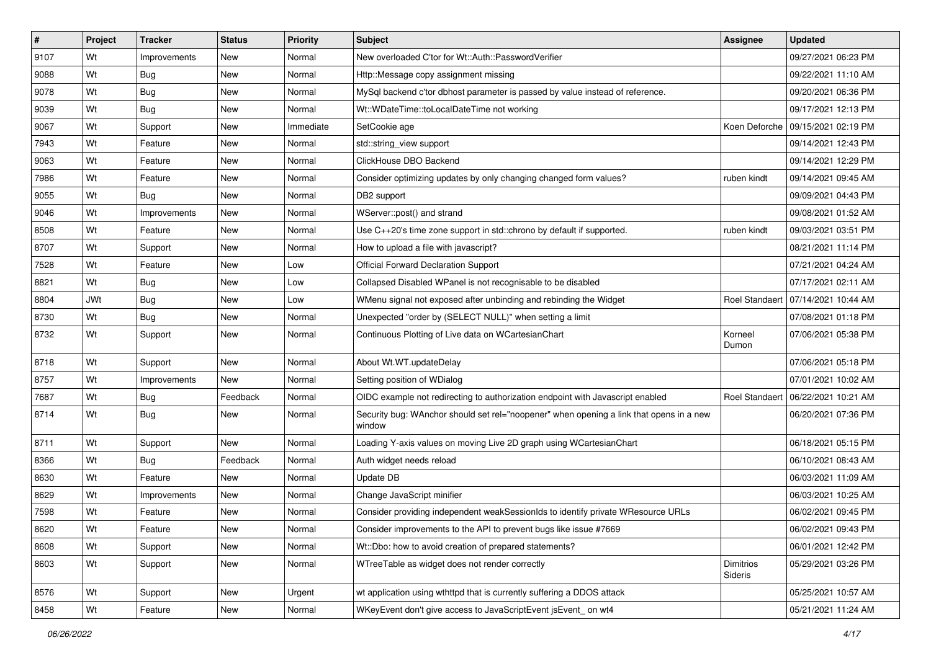| $\vert$ # | Project    | <b>Tracker</b> | <b>Status</b> | <b>Priority</b> | Subject                                                                                           | <b>Assignee</b>      | <b>Updated</b>                       |
|-----------|------------|----------------|---------------|-----------------|---------------------------------------------------------------------------------------------------|----------------------|--------------------------------------|
| 9107      | Wt         | Improvements   | New           | Normal          | New overloaded C'tor for Wt::Auth::PasswordVerifier                                               |                      | 09/27/2021 06:23 PM                  |
| 9088      | Wt         | <b>Bug</b>     | <b>New</b>    | Normal          | Http::Message copy assignment missing                                                             |                      | 09/22/2021 11:10 AM                  |
| 9078      | Wt         | Bug            | New           | Normal          | MySql backend c'tor dbhost parameter is passed by value instead of reference.                     |                      | 09/20/2021 06:36 PM                  |
| 9039      | Wt         | Bug            | New           | Normal          | Wt::WDateTime::toLocalDateTime not working                                                        |                      | 09/17/2021 12:13 PM                  |
| 9067      | Wt         | Support        | <b>New</b>    | Immediate       | SetCookie age                                                                                     |                      | Koen Deforche   09/15/2021 02:19 PM  |
| 7943      | Wt         | Feature        | New           | Normal          | std::string_view support                                                                          |                      | 09/14/2021 12:43 PM                  |
| 9063      | Wt         | Feature        | New           | Normal          | ClickHouse DBO Backend                                                                            |                      | 09/14/2021 12:29 PM                  |
| 7986      | Wt         | Feature        | New           | Normal          | Consider optimizing updates by only changing changed form values?                                 | ruben kindt          | 09/14/2021 09:45 AM                  |
| 9055      | Wt         | <b>Bug</b>     | New           | Normal          | DB2 support                                                                                       |                      | 09/09/2021 04:43 PM                  |
| 9046      | Wt         | Improvements   | New           | Normal          | WServer::post() and strand                                                                        |                      | 09/08/2021 01:52 AM                  |
| 8508      | Wt         | Feature        | New           | Normal          | Use C++20's time zone support in std::chrono by default if supported.                             | ruben kindt          | 09/03/2021 03:51 PM                  |
| 8707      | Wt         | Support        | New           | Normal          | How to upload a file with javascript?                                                             |                      | 08/21/2021 11:14 PM                  |
| 7528      | Wt         | Feature        | New           | Low             | <b>Official Forward Declaration Support</b>                                                       |                      | 07/21/2021 04:24 AM                  |
| 8821      | Wt         | Bug            | New           | Low             | Collapsed Disabled WPanel is not recognisable to be disabled                                      |                      | 07/17/2021 02:11 AM                  |
| 8804      | <b>JWt</b> | Bug            | New           | Low             | WMenu signal not exposed after unbinding and rebinding the Widget                                 |                      | Roel Standaert 07/14/2021 10:44 AM   |
| 8730      | Wt         | Bug            | New           | Normal          | Unexpected "order by (SELECT NULL)" when setting a limit                                          |                      | 07/08/2021 01:18 PM                  |
| 8732      | Wt         | Support        | New           | Normal          | Continuous Plotting of Live data on WCartesianChart                                               | Korneel<br>Dumon     | 07/06/2021 05:38 PM                  |
| 8718      | Wt         | Support        | New           | Normal          | About Wt.WT.updateDelay                                                                           |                      | 07/06/2021 05:18 PM                  |
| 8757      | Wt         | Improvements   | New           | Normal          | Setting position of WDialog                                                                       |                      | 07/01/2021 10:02 AM                  |
| 7687      | Wt         | <b>Bug</b>     | Feedback      | Normal          | OIDC example not redirecting to authorization endpoint with Javascript enabled                    |                      | Roel Standaert   06/22/2021 10:21 AM |
| 8714      | Wt         | Bug            | New           | Normal          | Security bug: WAnchor should set rel="noopener" when opening a link that opens in a new<br>window |                      | 06/20/2021 07:36 PM                  |
| 8711      | Wt         | Support        | New           | Normal          | Loading Y-axis values on moving Live 2D graph using WCartesianChart                               |                      | 06/18/2021 05:15 PM                  |
| 8366      | Wt         | Bug            | Feedback      | Normal          | Auth widget needs reload                                                                          |                      | 06/10/2021 08:43 AM                  |
| 8630      | Wt         | Feature        | <b>New</b>    | Normal          | Update DB                                                                                         |                      | 06/03/2021 11:09 AM                  |
| 8629      | Wt         | Improvements   | New           | Normal          | Change JavaScript minifier                                                                        |                      | 06/03/2021 10:25 AM                  |
| 7598      | Wt         | Feature        | New           | Normal          | Consider providing independent weakSessionIds to identify private WResource URLs                  |                      | 06/02/2021 09:45 PM                  |
| 8620      | Wt         | Feature        | New           | Normal          | Consider improvements to the API to prevent bugs like issue #7669                                 |                      | 06/02/2021 09:43 PM                  |
| 8608      | Wt         | Support        | New           | Normal          | Wt::Dbo: how to avoid creation of prepared statements?                                            |                      | 06/01/2021 12:42 PM                  |
| 8603      | Wt         | Support        | New           | Normal          | WTreeTable as widget does not render correctly                                                    | Dimitrios<br>Sideris | 05/29/2021 03:26 PM                  |
| 8576      | Wt         | Support        | New           | Urgent          | wt application using wthttpd that is currently suffering a DDOS attack                            |                      | 05/25/2021 10:57 AM                  |
| 8458      | Wt         | Feature        | New           | Normal          | WKeyEvent don't give access to JavaScriptEvent jsEvent_on wt4                                     |                      | 05/21/2021 11:24 AM                  |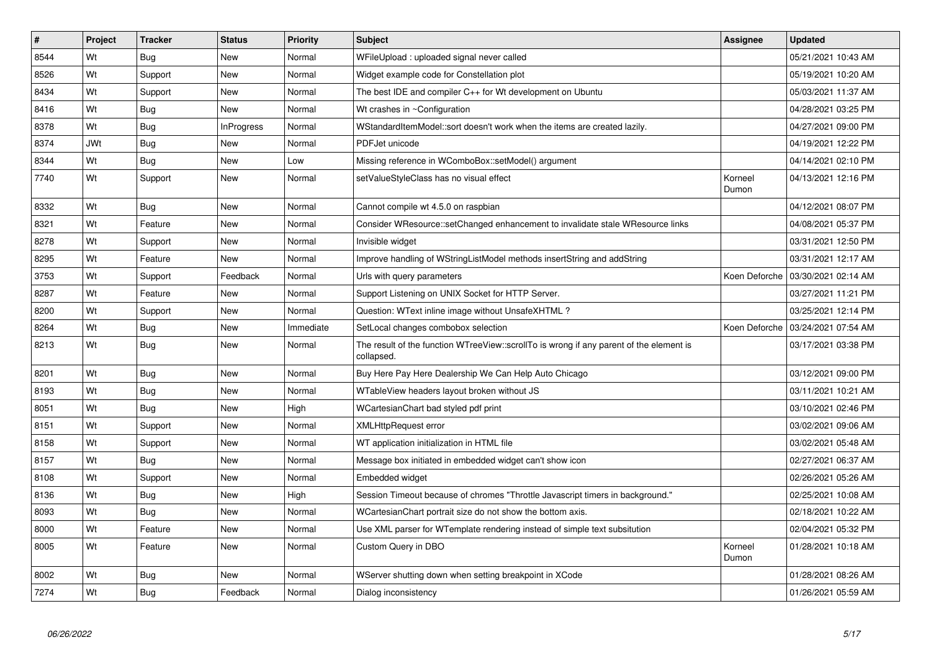| #    | <b>Project</b> | <b>Tracker</b> | <b>Status</b>     | Priority  | <b>Subject</b>                                                                                        | Assignee         | <b>Updated</b>      |
|------|----------------|----------------|-------------------|-----------|-------------------------------------------------------------------------------------------------------|------------------|---------------------|
| 8544 | Wt             | <b>Bug</b>     | <b>New</b>        | Normal    | WFileUpload : uploaded signal never called                                                            |                  | 05/21/2021 10:43 AM |
| 8526 | Wt             | Support        | <b>New</b>        | Normal    | Widget example code for Constellation plot                                                            |                  | 05/19/2021 10:20 AM |
| 8434 | Wt             | Support        | New               | Normal    | The best IDE and compiler C++ for Wt development on Ubuntu                                            |                  | 05/03/2021 11:37 AM |
| 8416 | Wt             | <b>Bug</b>     | <b>New</b>        | Normal    | Wt crashes in ~Configuration                                                                          |                  | 04/28/2021 03:25 PM |
| 8378 | Wt             | <b>Bug</b>     | <b>InProgress</b> | Normal    | WStandardItemModel::sort doesn't work when the items are created lazily.                              |                  | 04/27/2021 09:00 PM |
| 8374 | <b>JWt</b>     | Bug            | New               | Normal    | PDFJet unicode                                                                                        |                  | 04/19/2021 12:22 PM |
| 8344 | Wt             | <b>Bug</b>     | New               | Low       | Missing reference in WComboBox::setModel() argument                                                   |                  | 04/14/2021 02:10 PM |
| 7740 | Wt             | Support        | New               | Normal    | setValueStyleClass has no visual effect                                                               | Korneel<br>Dumon | 04/13/2021 12:16 PM |
| 8332 | Wt             | Bug            | <b>New</b>        | Normal    | Cannot compile wt 4.5.0 on raspbian                                                                   |                  | 04/12/2021 08:07 PM |
| 8321 | Wt             | Feature        | New               | Normal    | Consider WResource::setChanged enhancement to invalidate stale WResource links                        |                  | 04/08/2021 05:37 PM |
| 8278 | Wt             | Support        | <b>New</b>        | Normal    | Invisible widget                                                                                      |                  | 03/31/2021 12:50 PM |
| 8295 | Wt             | Feature        | New               | Normal    | Improve handling of WStringListModel methods insertString and addString                               |                  | 03/31/2021 12:17 AM |
| 3753 | Wt             | Support        | Feedback          | Normal    | Urls with query parameters                                                                            | Koen Deforche    | 03/30/2021 02:14 AM |
| 8287 | Wt             | Feature        | <b>New</b>        | Normal    | Support Listening on UNIX Socket for HTTP Server.                                                     |                  | 03/27/2021 11:21 PM |
| 8200 | Wt             | Support        | New               | Normal    | Question: WText inline image without UnsafeXHTML?                                                     |                  | 03/25/2021 12:14 PM |
| 8264 | Wt             | <b>Bug</b>     | <b>New</b>        | Immediate | SetLocal changes combobox selection                                                                   | Koen Deforche    | 03/24/2021 07:54 AM |
| 8213 | Wt             | Bug            | New               | Normal    | The result of the function WTreeView::scrollTo is wrong if any parent of the element is<br>collapsed. |                  | 03/17/2021 03:38 PM |
| 8201 | Wt             | <b>Bug</b>     | <b>New</b>        | Normal    | Buy Here Pay Here Dealership We Can Help Auto Chicago                                                 |                  | 03/12/2021 09:00 PM |
| 8193 | Wt             | Bug            | New               | Normal    | WTableView headers layout broken without JS                                                           |                  | 03/11/2021 10:21 AM |
| 8051 | Wt             | Bug            | <b>New</b>        | High      | WCartesianChart bad styled pdf print                                                                  |                  | 03/10/2021 02:46 PM |
| 8151 | Wt             | Support        | New               | Normal    | <b>XMLHttpRequest error</b>                                                                           |                  | 03/02/2021 09:06 AM |
| 8158 | Wt             | Support        | New               | Normal    | WT application initialization in HTML file                                                            |                  | 03/02/2021 05:48 AM |
| 8157 | Wt             | Bug            | New               | Normal    | Message box initiated in embedded widget can't show icon                                              |                  | 02/27/2021 06:37 AM |
| 8108 | Wt             | Support        | New               | Normal    | Embedded widget                                                                                       |                  | 02/26/2021 05:26 AM |
| 8136 | Wt             | <b>Bug</b>     | New               | High      | Session Timeout because of chromes "Throttle Javascript timers in background."                        |                  | 02/25/2021 10:08 AM |
| 8093 | Wt             | Bug            | New               | Normal    | WCartesianChart portrait size do not show the bottom axis.                                            |                  | 02/18/2021 10:22 AM |
| 8000 | Wt             | Feature        | New               | Normal    | Use XML parser for WTemplate rendering instead of simple text subsitution                             |                  | 02/04/2021 05:32 PM |
| 8005 | Wt             | Feature        | <b>New</b>        | Normal    | Custom Query in DBO                                                                                   | Korneel<br>Dumon | 01/28/2021 10:18 AM |
| 8002 | Wt             | <b>Bug</b>     | New               | Normal    | WServer shutting down when setting breakpoint in XCode                                                |                  | 01/28/2021 08:26 AM |
| 7274 | Wt             | Bug            | Feedback          | Normal    | Dialog inconsistency                                                                                  |                  | 01/26/2021 05:59 AM |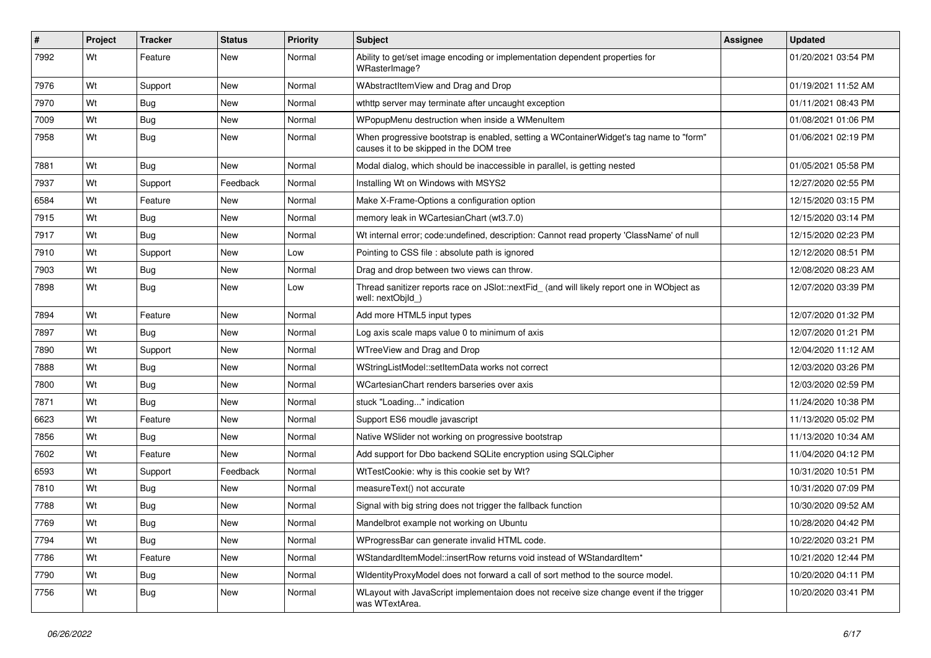| ∦    | Project | <b>Tracker</b> | <b>Status</b> | Priority | Subject                                                                                                                           | <b>Assignee</b> | <b>Updated</b>      |
|------|---------|----------------|---------------|----------|-----------------------------------------------------------------------------------------------------------------------------------|-----------------|---------------------|
| 7992 | Wt      | Feature        | New           | Normal   | Ability to get/set image encoding or implementation dependent properties for<br>WRasterImage?                                     |                 | 01/20/2021 03:54 PM |
| 7976 | Wt      | Support        | New           | Normal   | WAbstractItemView and Drag and Drop                                                                                               |                 | 01/19/2021 11:52 AM |
| 7970 | Wt      | <b>Bug</b>     | New           | Normal   | wthttp server may terminate after uncaught exception                                                                              |                 | 01/11/2021 08:43 PM |
| 7009 | Wt      | Bug            | New           | Normal   | WPopupMenu destruction when inside a WMenuItem                                                                                    |                 | 01/08/2021 01:06 PM |
| 7958 | Wt      | Bug            | New           | Normal   | When progressive bootstrap is enabled, setting a WContainerWidget's tag name to "form"<br>causes it to be skipped in the DOM tree |                 | 01/06/2021 02:19 PM |
| 7881 | Wt      | <b>Bug</b>     | <b>New</b>    | Normal   | Modal dialog, which should be inaccessible in parallel, is getting nested                                                         |                 | 01/05/2021 05:58 PM |
| 7937 | Wt      | Support        | Feedback      | Normal   | Installing Wt on Windows with MSYS2                                                                                               |                 | 12/27/2020 02:55 PM |
| 6584 | Wt      | Feature        | New           | Normal   | Make X-Frame-Options a configuration option                                                                                       |                 | 12/15/2020 03:15 PM |
| 7915 | Wt      | Bug            | New           | Normal   | memory leak in WCartesianChart (wt3.7.0)                                                                                          |                 | 12/15/2020 03:14 PM |
| 7917 | Wt      | Bug            | New           | Normal   | Wt internal error; code:undefined, description: Cannot read property 'ClassName' of null                                          |                 | 12/15/2020 02:23 PM |
| 7910 | Wt      | Support        | <b>New</b>    | Low      | Pointing to CSS file : absolute path is ignored                                                                                   |                 | 12/12/2020 08:51 PM |
| 7903 | Wt      | Bug            | New           | Normal   | Drag and drop between two views can throw.                                                                                        |                 | 12/08/2020 08:23 AM |
| 7898 | Wt      | Bug            | New           | Low      | Thread sanitizer reports race on JSlot::nextFid_ (and will likely report one in WObject as<br>well: nextObild )                   |                 | 12/07/2020 03:39 PM |
| 7894 | Wt      | Feature        | <b>New</b>    | Normal   | Add more HTML5 input types                                                                                                        |                 | 12/07/2020 01:32 PM |
| 7897 | Wt      | Bug            | New           | Normal   | Log axis scale maps value 0 to minimum of axis                                                                                    |                 | 12/07/2020 01:21 PM |
| 7890 | Wt      | Support        | New           | Normal   | WTreeView and Drag and Drop                                                                                                       |                 | 12/04/2020 11:12 AM |
| 7888 | Wt      | Bug            | New           | Normal   | WStringListModel::setItemData works not correct                                                                                   |                 | 12/03/2020 03:26 PM |
| 7800 | Wt      | Bug            | <b>New</b>    | Normal   | WCartesianChart renders barseries over axis                                                                                       |                 | 12/03/2020 02:59 PM |
| 7871 | Wt      | <b>Bug</b>     | New           | Normal   | stuck "Loading" indication                                                                                                        |                 | 11/24/2020 10:38 PM |
| 6623 | Wt      | Feature        | New           | Normal   | Support ES6 moudle javascript                                                                                                     |                 | 11/13/2020 05:02 PM |
| 7856 | Wt      | <b>Bug</b>     | New           | Normal   | Native WSIider not working on progressive bootstrap                                                                               |                 | 11/13/2020 10:34 AM |
| 7602 | Wt      | Feature        | New           | Normal   | Add support for Dbo backend SQLite encryption using SQLCipher                                                                     |                 | 11/04/2020 04:12 PM |
| 6593 | Wt      | Support        | Feedback      | Normal   | WtTestCookie: why is this cookie set by Wt?                                                                                       |                 | 10/31/2020 10:51 PM |
| 7810 | Wt      | Bug            | New           | Normal   | measureText() not accurate                                                                                                        |                 | 10/31/2020 07:09 PM |
| 7788 | Wt      | Bug            | New           | Normal   | Signal with big string does not trigger the fallback function                                                                     |                 | 10/30/2020 09:52 AM |
| 7769 | Wt      | Bug            | New           | Normal   | Mandelbrot example not working on Ubuntu                                                                                          |                 | 10/28/2020 04:42 PM |
| 7794 | Wt      | Bug            | New           | Normal   | WProgressBar can generate invalid HTML code.                                                                                      |                 | 10/22/2020 03:21 PM |
| 7786 | Wt      | Feature        | New           | Normal   | WStandardItemModel::insertRow returns void instead of WStandardItem*                                                              |                 | 10/21/2020 12:44 PM |
| 7790 | Wt      | Bug            | New           | Normal   | WidentityProxyModel does not forward a call of sort method to the source model.                                                   |                 | 10/20/2020 04:11 PM |
| 7756 | Wt      | <b>Bug</b>     | New           | Normal   | WLayout with JavaScript implementaion does not receive size change event if the trigger<br>was WTextArea.                         |                 | 10/20/2020 03:41 PM |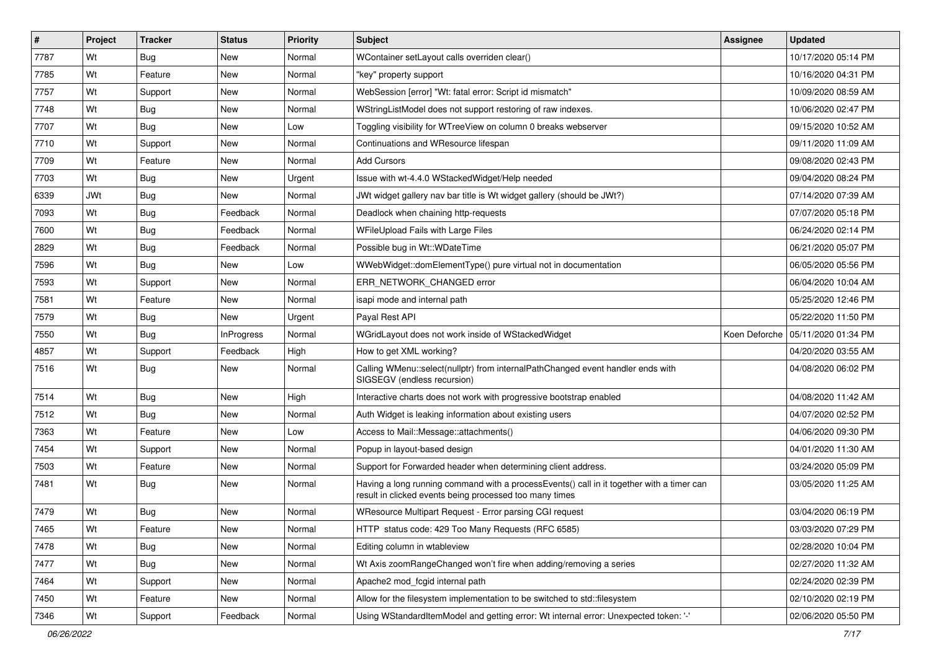| #    | Project    | <b>Tracker</b> | <b>Status</b>     | <b>Priority</b> | <b>Subject</b>                                                                                                                                       | <b>Assignee</b> | <b>Updated</b>                      |
|------|------------|----------------|-------------------|-----------------|------------------------------------------------------------------------------------------------------------------------------------------------------|-----------------|-------------------------------------|
| 7787 | Wt         | Bug            | New               | Normal          | WContainer setLayout calls overriden clear()                                                                                                         |                 | 10/17/2020 05:14 PM                 |
| 7785 | Wt         | Feature        | New               | Normal          | "key" property support                                                                                                                               |                 | 10/16/2020 04:31 PM                 |
| 7757 | Wt         | Support        | New               | Normal          | WebSession [error] "Wt: fatal error: Script id mismatch"                                                                                             |                 | 10/09/2020 08:59 AM                 |
| 7748 | Wt         | Bug            | <b>New</b>        | Normal          | WStringListModel does not support restoring of raw indexes.                                                                                          |                 | 10/06/2020 02:47 PM                 |
| 7707 | Wt         | <b>Bug</b>     | New               | Low             | Toggling visibility for WTreeView on column 0 breaks webserver                                                                                       |                 | 09/15/2020 10:52 AM                 |
| 7710 | Wt         | Support        | New               | Normal          | Continuations and WResource lifespan                                                                                                                 |                 | 09/11/2020 11:09 AM                 |
| 7709 | Wt         | Feature        | New               | Normal          | <b>Add Cursors</b>                                                                                                                                   |                 | 09/08/2020 02:43 PM                 |
| 7703 | Wt         | Bug            | New               | Urgent          | Issue with wt-4.4.0 WStackedWidget/Help needed                                                                                                       |                 | 09/04/2020 08:24 PM                 |
| 6339 | <b>JWt</b> | Bug            | New               | Normal          | JWt widget gallery nav bar title is Wt widget gallery (should be JWt?)                                                                               |                 | 07/14/2020 07:39 AM                 |
| 7093 | Wt         | <b>Bug</b>     | Feedback          | Normal          | Deadlock when chaining http-requests                                                                                                                 |                 | 07/07/2020 05:18 PM                 |
| 7600 | Wt         | Bug            | Feedback          | Normal          | WFileUpload Fails with Large Files                                                                                                                   |                 | 06/24/2020 02:14 PM                 |
| 2829 | Wt         | Bug            | Feedback          | Normal          | Possible bug in Wt::WDateTime                                                                                                                        |                 | 06/21/2020 05:07 PM                 |
| 7596 | Wt         | Bug            | <b>New</b>        | Low             | WWebWidget::domElementType() pure virtual not in documentation                                                                                       |                 | 06/05/2020 05:56 PM                 |
| 7593 | Wt         | Support        | New               | Normal          | ERR NETWORK CHANGED error                                                                                                                            |                 | 06/04/2020 10:04 AM                 |
| 7581 | Wt         | Feature        | <b>New</b>        | Normal          | isapi mode and internal path                                                                                                                         |                 | 05/25/2020 12:46 PM                 |
| 7579 | Wt         | Bug            | New               | Urgent          | Payal Rest API                                                                                                                                       |                 | 05/22/2020 11:50 PM                 |
| 7550 | Wt         | Bug            | <b>InProgress</b> | Normal          | WGridLayout does not work inside of WStackedWidget                                                                                                   |                 | Koen Deforche   05/11/2020 01:34 PM |
| 4857 | Wt         | Support        | Feedback          | High            | How to get XML working?                                                                                                                              |                 | 04/20/2020 03:55 AM                 |
| 7516 | Wt         | Bug            | New               | Normal          | Calling WMenu::select(nullptr) from internalPathChanged event handler ends with<br>SIGSEGV (endless recursion)                                       |                 | 04/08/2020 06:02 PM                 |
| 7514 | Wt         | <b>Bug</b>     | <b>New</b>        | High            | Interactive charts does not work with progressive bootstrap enabled                                                                                  |                 | 04/08/2020 11:42 AM                 |
| 7512 | Wt         | Bug            | New               | Normal          | Auth Widget is leaking information about existing users                                                                                              |                 | 04/07/2020 02:52 PM                 |
| 7363 | Wt         | Feature        | New               | Low             | Access to Mail::Message::attachments()                                                                                                               |                 | 04/06/2020 09:30 PM                 |
| 7454 | Wt         | Support        | New               | Normal          | Popup in layout-based design                                                                                                                         |                 | 04/01/2020 11:30 AM                 |
| 7503 | Wt         | Feature        | New               | Normal          | Support for Forwarded header when determining client address.                                                                                        |                 | 03/24/2020 05:09 PM                 |
| 7481 | Wt         | Bug            | New               | Normal          | Having a long running command with a processEvents() call in it together with a timer can<br>result in clicked events being processed too many times |                 | 03/05/2020 11:25 AM                 |
| 7479 | Wt         | Bug            | <b>New</b>        | Normal          | WResource Multipart Request - Error parsing CGI request                                                                                              |                 | 03/04/2020 06:19 PM                 |
| 7465 | Wt         | Feature        | New               | Normal          | HTTP status code: 429 Too Many Requests (RFC 6585)                                                                                                   |                 | 03/03/2020 07:29 PM                 |
| 7478 | Wt         | <b>Bug</b>     | New               | Normal          | Editing column in wtableview                                                                                                                         |                 | 02/28/2020 10:04 PM                 |
| 7477 | Wt         | <b>Bug</b>     | <b>New</b>        | Normal          | Wt Axis zoomRangeChanged won't fire when adding/removing a series                                                                                    |                 | 02/27/2020 11:32 AM                 |
| 7464 | Wt         | Support        | New               | Normal          | Apache2 mod_fcgid internal path                                                                                                                      |                 | 02/24/2020 02:39 PM                 |
| 7450 | Wt         | Feature        | New               | Normal          | Allow for the filesystem implementation to be switched to std::filesystem                                                                            |                 | 02/10/2020 02:19 PM                 |
| 7346 | Wt         | Support        | Feedback          | Normal          | Using WStandardItemModel and getting error: Wt internal error: Unexpected token: '-'                                                                 |                 | 02/06/2020 05:50 PM                 |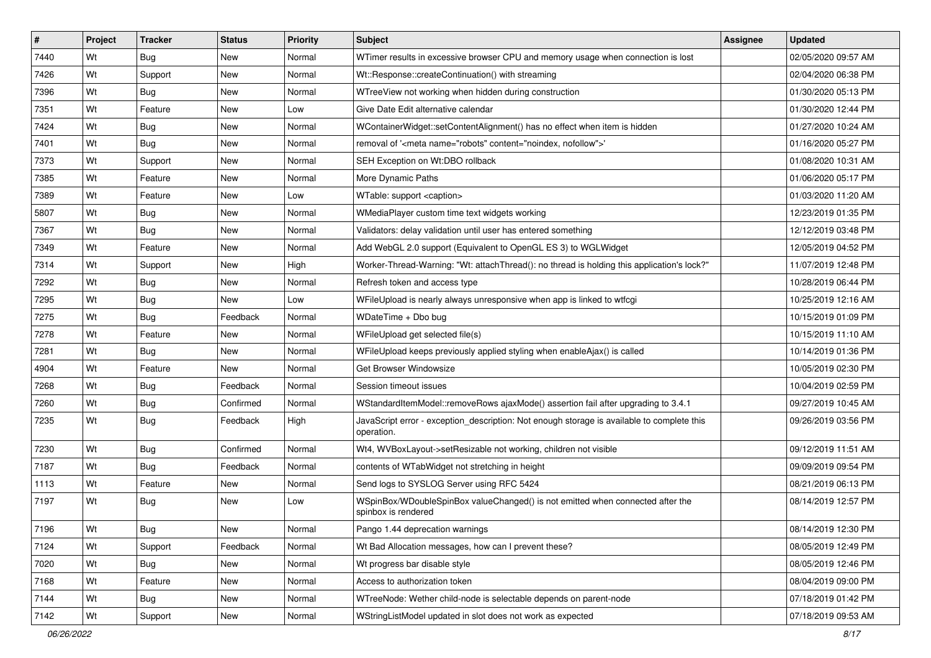| #    | Project | <b>Tracker</b> | <b>Status</b> | <b>Priority</b> | <b>Subject</b>                                                                                           | Assignee | <b>Updated</b>      |
|------|---------|----------------|---------------|-----------------|----------------------------------------------------------------------------------------------------------|----------|---------------------|
| 7440 | Wt      | Bug            | New           | Normal          | WTimer results in excessive browser CPU and memory usage when connection is lost                         |          | 02/05/2020 09:57 AM |
| 7426 | Wt      | Support        | New           | Normal          | Wt::Response::createContinuation() with streaming                                                        |          | 02/04/2020 06:38 PM |
| 7396 | Wt      | Bug            | <b>New</b>    | Normal          | WTreeView not working when hidden during construction                                                    |          | 01/30/2020 05:13 PM |
| 7351 | Wt      | Feature        | New           | Low             | Give Date Edit alternative calendar                                                                      |          | 01/30/2020 12:44 PM |
| 7424 | Wt      | Bug            | <b>New</b>    | Normal          | WContainerWidget::setContentAlignment() has no effect when item is hidden                                |          | 01/27/2020 10:24 AM |
| 7401 | Wt      | Bug            | New           | Normal          | removal of ' <meta content="noindex, nofollow" name="robots"/> '                                         |          | 01/16/2020 05:27 PM |
| 7373 | Wt      | Support        | <b>New</b>    | Normal          | SEH Exception on Wt:DBO rollback                                                                         |          | 01/08/2020 10:31 AM |
| 7385 | Wt      | Feature        | New           | Normal          | More Dynamic Paths                                                                                       |          | 01/06/2020 05:17 PM |
| 7389 | Wt      | Feature        | New           | Low             | WTable: support <caption></caption>                                                                      |          | 01/03/2020 11:20 AM |
| 5807 | Wt      | Bug            | New           | Normal          | WMediaPlayer custom time text widgets working                                                            |          | 12/23/2019 01:35 PM |
| 7367 | Wt      | Bug            | New           | Normal          | Validators: delay validation until user has entered something                                            |          | 12/12/2019 03:48 PM |
| 7349 | Wt      | Feature        | New           | Normal          | Add WebGL 2.0 support (Equivalent to OpenGL ES 3) to WGLWidget                                           |          | 12/05/2019 04:52 PM |
| 7314 | Wt      | Support        | New           | High            | Worker-Thread-Warning: "Wt: attachThread(): no thread is holding this application's lock?"               |          | 11/07/2019 12:48 PM |
| 7292 | Wt      | Bug            | New           | Normal          | Refresh token and access type                                                                            |          | 10/28/2019 06:44 PM |
| 7295 | Wt      | Bug            | New           | Low             | WFileUpload is nearly always unresponsive when app is linked to wtfcgi                                   |          | 10/25/2019 12:16 AM |
| 7275 | Wt      | Bug            | Feedback      | Normal          | WDateTime + Dbo bug                                                                                      |          | 10/15/2019 01:09 PM |
| 7278 | Wt      | Feature        | New           | Normal          | WFileUpload get selected file(s)                                                                         |          | 10/15/2019 11:10 AM |
| 7281 | Wt      | <b>Bug</b>     | New           | Normal          | WFileUpload keeps previously applied styling when enableAjax() is called                                 |          | 10/14/2019 01:36 PM |
| 4904 | Wt      | Feature        | New           | Normal          | Get Browser Windowsize                                                                                   |          | 10/05/2019 02:30 PM |
| 7268 | Wt      | Bug            | Feedback      | Normal          | Session timeout issues                                                                                   |          | 10/04/2019 02:59 PM |
| 7260 | Wt      | Bug            | Confirmed     | Normal          | WStandardItemModel::removeRows ajaxMode() assertion fail after upgrading to 3.4.1                        |          | 09/27/2019 10:45 AM |
| 7235 | Wt      | Bug            | Feedback      | High            | JavaScript error - exception_description: Not enough storage is available to complete this<br>operation. |          | 09/26/2019 03:56 PM |
| 7230 | Wt      | Bug            | Confirmed     | Normal          | Wt4, WVBoxLayout->setResizable not working, children not visible                                         |          | 09/12/2019 11:51 AM |
| 7187 | Wt      | Bug            | Feedback      | Normal          | contents of WTabWidget not stretching in height                                                          |          | 09/09/2019 09:54 PM |
| 1113 | Wt      | Feature        | New           | Normal          | Send logs to SYSLOG Server using RFC 5424                                                                |          | 08/21/2019 06:13 PM |
| 7197 | Wt      | Bug            | New           | Low             | WSpinBox/WDoubleSpinBox valueChanged() is not emitted when connected after the<br>spinbox is rendered    |          | 08/14/2019 12:57 PM |
| 7196 | Wt      | Bug            | New           | Normal          | Pango 1.44 deprecation warnings                                                                          |          | 08/14/2019 12:30 PM |
| 7124 | Wt      | Support        | Feedback      | Normal          | Wt Bad Allocation messages, how can I prevent these?                                                     |          | 08/05/2019 12:49 PM |
| 7020 | Wt      | <b>Bug</b>     | New           | Normal          | Wt progress bar disable style                                                                            |          | 08/05/2019 12:46 PM |
| 7168 | Wt      | Feature        | New           | Normal          | Access to authorization token                                                                            |          | 08/04/2019 09:00 PM |
| 7144 | Wt      | <b>Bug</b>     | New           | Normal          | WTreeNode: Wether child-node is selectable depends on parent-node                                        |          | 07/18/2019 01:42 PM |
| 7142 | Wt      | Support        | New           | Normal          | WStringListModel updated in slot does not work as expected                                               |          | 07/18/2019 09:53 AM |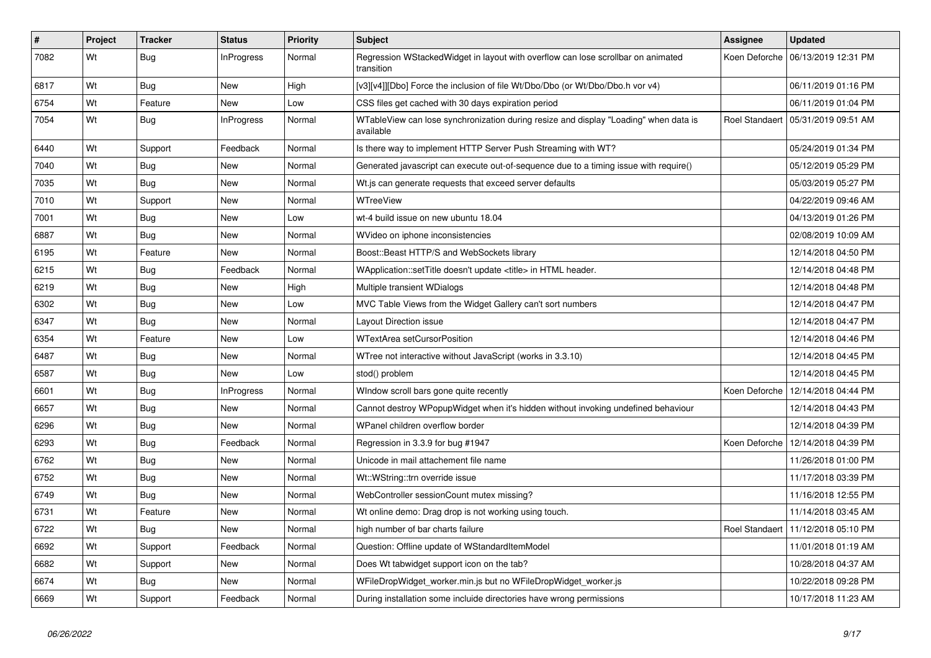| #    | Project | <b>Tracker</b> | <b>Status</b>     | <b>Priority</b> | <b>Subject</b>                                                                                    | <b>Assignee</b> | <b>Updated</b>                       |
|------|---------|----------------|-------------------|-----------------|---------------------------------------------------------------------------------------------------|-----------------|--------------------------------------|
| 7082 | Wt      | Bug            | InProgress        | Normal          | Regression WStackedWidget in layout with overflow can lose scrollbar on animated<br>transition    |                 | Koen Deforche   06/13/2019 12:31 PM  |
| 6817 | Wt      | <b>Bug</b>     | New               | High            | [v3][v4]][Dbo] Force the inclusion of file Wt/Dbo/Dbo (or Wt/Dbo/Dbo.h vor v4)                    |                 | 06/11/2019 01:16 PM                  |
| 6754 | Wt      | Feature        | New               | Low             | CSS files get cached with 30 days expiration period                                               |                 | 06/11/2019 01:04 PM                  |
| 7054 | Wt      | <b>Bug</b>     | <b>InProgress</b> | Normal          | WTableView can lose synchronization during resize and display "Loading" when data is<br>available |                 | Roel Standaert   05/31/2019 09:51 AM |
| 6440 | Wt      | Support        | Feedback          | Normal          | Is there way to implement HTTP Server Push Streaming with WT?                                     |                 | 05/24/2019 01:34 PM                  |
| 7040 | Wt      | <b>Bug</b>     | <b>New</b>        | Normal          | Generated javascript can execute out-of-sequence due to a timing issue with require()             |                 | 05/12/2019 05:29 PM                  |
| 7035 | Wt      | Bug            | <b>New</b>        | Normal          | Wt.js can generate requests that exceed server defaults                                           |                 | 05/03/2019 05:27 PM                  |
| 7010 | Wt      | Support        | New               | Normal          | WTreeView                                                                                         |                 | 04/22/2019 09:46 AM                  |
| 7001 | Wt      | <b>Bug</b>     | New               | Low             | wt-4 build issue on new ubuntu 18.04                                                              |                 | 04/13/2019 01:26 PM                  |
| 6887 | Wt      | Bug            | New               | Normal          | WVideo on iphone inconsistencies                                                                  |                 | 02/08/2019 10:09 AM                  |
| 6195 | Wt      | Feature        | New               | Normal          | Boost::Beast HTTP/S and WebSockets library                                                        |                 | 12/14/2018 04:50 PM                  |
| 6215 | Wt      | Bug            | Feedback          | Normal          | WApplication::setTitle doesn't update <title> in HTML header.</title>                             |                 | 12/14/2018 04:48 PM                  |
| 6219 | Wt      | Bug            | New               | High            | Multiple transient WDialogs                                                                       |                 | 12/14/2018 04:48 PM                  |
| 6302 | Wt      | Bug            | New               | Low             | MVC Table Views from the Widget Gallery can't sort numbers                                        |                 | 12/14/2018 04:47 PM                  |
| 6347 | Wt      | <b>Bug</b>     | New               | Normal          | Layout Direction issue                                                                            |                 | 12/14/2018 04:47 PM                  |
| 6354 | Wt      | Feature        | New               | Low             | <b>WTextArea setCursorPosition</b>                                                                |                 | 12/14/2018 04:46 PM                  |
| 6487 | Wt      | <b>Bug</b>     | New               | Normal          | WTree not interactive without JavaScript (works in 3.3.10)                                        |                 | 12/14/2018 04:45 PM                  |
| 6587 | Wt      | <b>Bug</b>     | <b>New</b>        | Low             | stod() problem                                                                                    |                 | 12/14/2018 04:45 PM                  |
| 6601 | Wt      | <b>Bug</b>     | <b>InProgress</b> | Normal          | Window scroll bars gone quite recently                                                            | Koen Deforche   | 12/14/2018 04:44 PM                  |
| 6657 | Wt      | Bug            | New               | Normal          | Cannot destroy WPopupWidget when it's hidden without invoking undefined behaviour                 |                 | 12/14/2018 04:43 PM                  |
| 6296 | Wt      | Bug            | New               | Normal          | WPanel children overflow border                                                                   |                 | 12/14/2018 04:39 PM                  |
| 6293 | Wt      | <b>Bug</b>     | Feedback          | Normal          | Regression in 3.3.9 for bug #1947                                                                 |                 | Koen Deforche   12/14/2018 04:39 PM  |
| 6762 | Wt      | Bug            | New               | Normal          | Unicode in mail attachement file name                                                             |                 | 11/26/2018 01:00 PM                  |
| 6752 | Wt      | Bug            | New               | Normal          | Wt::WString::trn override issue                                                                   |                 | 11/17/2018 03:39 PM                  |
| 6749 | Wt      | Bug            | New               | Normal          | WebController sessionCount mutex missing?                                                         |                 | 11/16/2018 12:55 PM                  |
| 6731 | Wt      | Feature        | New               | Normal          | Wt online demo: Drag drop is not working using touch.                                             |                 | 11/14/2018 03:45 AM                  |
| 6722 | Wt      | <b>Bug</b>     | New               | Normal          | high number of bar charts failure                                                                 |                 | Roel Standaert   11/12/2018 05:10 PM |
| 6692 | Wt      | Support        | Feedback          | Normal          | Question: Offline update of WStandardItemModel                                                    |                 | 11/01/2018 01:19 AM                  |
| 6682 | Wt      | Support        | New               | Normal          | Does Wt tabwidget support icon on the tab?                                                        |                 | 10/28/2018 04:37 AM                  |
| 6674 | Wt      | <b>Bug</b>     | New               | Normal          | WFileDropWidget_worker.min.js but no WFileDropWidget_worker.js                                    |                 | 10/22/2018 09:28 PM                  |
| 6669 | Wt      | Support        | Feedback          | Normal          | During installation some incluide directories have wrong permissions                              |                 | 10/17/2018 11:23 AM                  |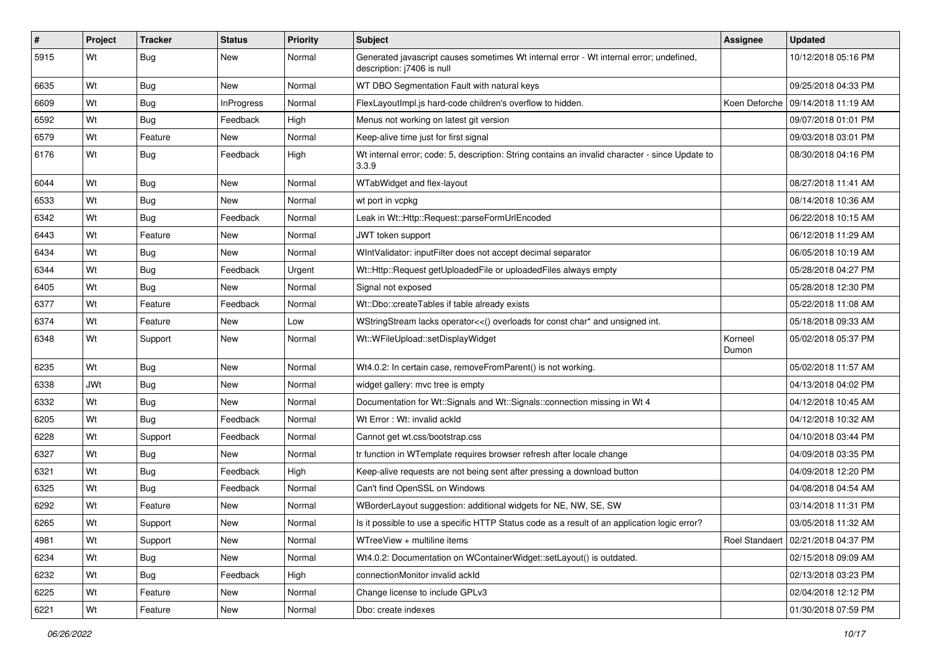| $\sharp$ | Project    | <b>Tracker</b> | <b>Status</b>     | <b>Priority</b> | Subject                                                                                                               | <b>Assignee</b>  | <b>Updated</b>                       |
|----------|------------|----------------|-------------------|-----------------|-----------------------------------------------------------------------------------------------------------------------|------------------|--------------------------------------|
| 5915     | Wt         | <b>Bug</b>     | New               | Normal          | Generated javascript causes sometimes Wt internal error - Wt internal error; undefined,<br>description: j7406 is null |                  | 10/12/2018 05:16 PM                  |
| 6635     | Wt         | <b>Bug</b>     | New               | Normal          | WT DBO Segmentation Fault with natural keys                                                                           |                  | 09/25/2018 04:33 PM                  |
| 6609     | Wt         | <b>Bug</b>     | <b>InProgress</b> | Normal          | FlexLayoutImpl.js hard-code children's overflow to hidden.                                                            |                  | Koen Deforche   09/14/2018 11:19 AM  |
| 6592     | Wt         | Bug            | Feedback          | High            | Menus not working on latest git version                                                                               |                  | 09/07/2018 01:01 PM                  |
| 6579     | Wt         | Feature        | New               | Normal          | Keep-alive time just for first signal                                                                                 |                  | 09/03/2018 03:01 PM                  |
| 6176     | Wt         | Bug            | Feedback          | High            | Wt internal error; code: 5, description: String contains an invalid character - since Update to<br>3.3.9              |                  | 08/30/2018 04:16 PM                  |
| 6044     | Wt         | <b>Bug</b>     | New               | Normal          | WTabWidget and flex-layout                                                                                            |                  | 08/27/2018 11:41 AM                  |
| 6533     | Wt         | <b>Bug</b>     | <b>New</b>        | Normal          | wt port in vcpkg                                                                                                      |                  | 08/14/2018 10:36 AM                  |
| 6342     | Wt         | Bug            | Feedback          | Normal          | Leak in Wt::Http::Request::parseFormUrlEncoded                                                                        |                  | 06/22/2018 10:15 AM                  |
| 6443     | Wt         | Feature        | New               | Normal          | JWT token support                                                                                                     |                  | 06/12/2018 11:29 AM                  |
| 6434     | Wt         | Bug            | <b>New</b>        | Normal          | WIntValidator: inputFilter does not accept decimal separator                                                          |                  | 06/05/2018 10:19 AM                  |
| 6344     | Wt         | <b>Bug</b>     | Feedback          | Urgent          | Wt::Http::Request getUploadedFile or uploadedFiles always empty                                                       |                  | 05/28/2018 04:27 PM                  |
| 6405     | Wt         | <b>Bug</b>     | <b>New</b>        | Normal          | Signal not exposed                                                                                                    |                  | 05/28/2018 12:30 PM                  |
| 6377     | Wt         | Feature        | Feedback          | Normal          | Wt::Dbo::createTables if table already exists                                                                         |                  | 05/22/2018 11:08 AM                  |
| 6374     | Wt         | Feature        | <b>New</b>        | Low             | WStringStream lacks operator<<() overloads for const char* and unsigned int.                                          |                  | 05/18/2018 09:33 AM                  |
| 6348     | Wt         | Support        | New               | Normal          | Wt::WFileUpload::setDisplayWidget                                                                                     | Korneel<br>Dumon | 05/02/2018 05:37 PM                  |
| 6235     | Wt         | <b>Bug</b>     | New               | Normal          | Wt4.0.2: In certain case, removeFromParent() is not working.                                                          |                  | 05/02/2018 11:57 AM                  |
| 6338     | <b>JWt</b> | Bug            | <b>New</b>        | Normal          | widget gallery: mvc tree is empty                                                                                     |                  | 04/13/2018 04:02 PM                  |
| 6332     | Wt         | Bug            | New               | Normal          | Documentation for Wt::Signals and Wt::Signals::connection missing in Wt 4                                             |                  | 04/12/2018 10:45 AM                  |
| 6205     | Wt         | <b>Bug</b>     | Feedback          | Normal          | Wt Error: Wt: invalid ackId                                                                                           |                  | 04/12/2018 10:32 AM                  |
| 6228     | Wt         | Support        | Feedback          | Normal          | Cannot get wt.css/bootstrap.css                                                                                       |                  | 04/10/2018 03:44 PM                  |
| 6327     | Wt         | <b>Bug</b>     | <b>New</b>        | Normal          | tr function in WTemplate requires browser refresh after locale change                                                 |                  | 04/09/2018 03:35 PM                  |
| 6321     | Wt         | Bug            | Feedback          | High            | Keep-alive requests are not being sent after pressing a download button                                               |                  | 04/09/2018 12:20 PM                  |
| 6325     | Wt         | <b>Bug</b>     | Feedback          | Normal          | Can't find OpenSSL on Windows                                                                                         |                  | 04/08/2018 04:54 AM                  |
| 6292     | Wt         | Feature        | New               | Normal          | WBorderLayout suggestion: additional widgets for NE, NW, SE, SW                                                       |                  | 03/14/2018 11:31 PM                  |
| 6265     | Wt         | Support        | New               | Normal          | Is it possible to use a specific HTTP Status code as a result of an application logic error?                          |                  | 03/05/2018 11:32 AM                  |
| 4981     | Wt         | Support        | New               | Normal          | WTreeView + multiline items                                                                                           |                  | Roel Standaert   02/21/2018 04:37 PM |
| 6234     | Wt         | <b>Bug</b>     | New               | Normal          | Wt4.0.2: Documentation on WContainerWidget::setLayout() is outdated.                                                  |                  | 02/15/2018 09:09 AM                  |
| 6232     | Wt         | <b>Bug</b>     | Feedback          | High            | connectionMonitor invalid ackId                                                                                       |                  | 02/13/2018 03:23 PM                  |
| 6225     | Wt         | Feature        | New               | Normal          | Change license to include GPLv3                                                                                       |                  | 02/04/2018 12:12 PM                  |
| 6221     | Wt         | Feature        | New               | Normal          | Dbo: create indexes                                                                                                   |                  | 01/30/2018 07:59 PM                  |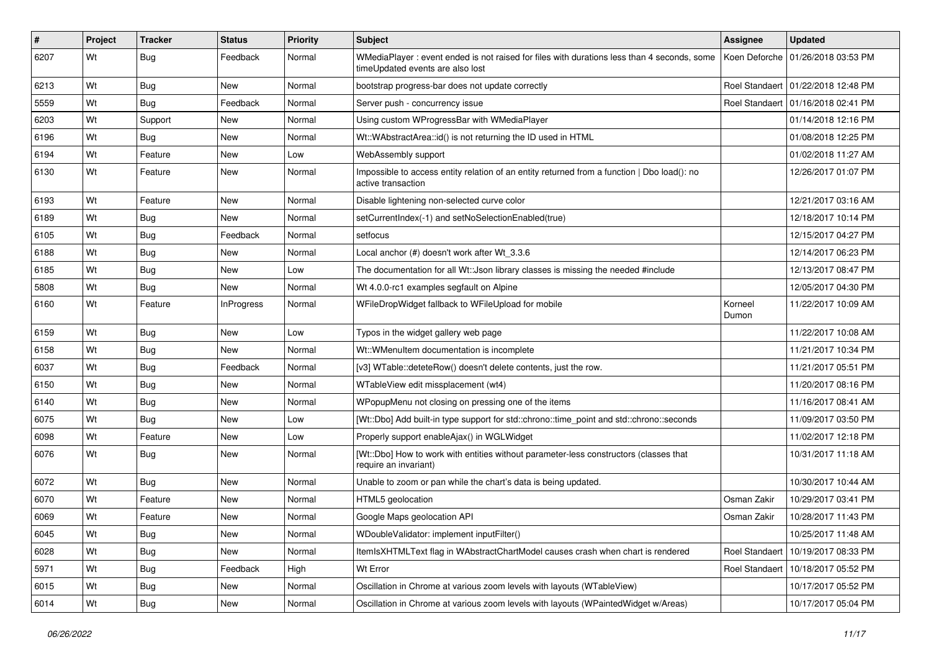| #    | Project | <b>Tracker</b> | <b>Status</b>     | <b>Priority</b> | Subject                                                                                                                        | Assignee         | <b>Updated</b>                       |
|------|---------|----------------|-------------------|-----------------|--------------------------------------------------------------------------------------------------------------------------------|------------------|--------------------------------------|
| 6207 | Wt      | Bug            | Feedback          | Normal          | WMediaPlayer: event ended is not raised for files with durations less than 4 seconds, some<br>timeUpdated events are also lost | Koen Deforche    | 01/26/2018 03:53 PM                  |
| 6213 | Wt      | Bug            | New               | Normal          | bootstrap progress-bar does not update correctly                                                                               |                  | Roel Standaert   01/22/2018 12:48 PM |
| 5559 | Wt      | Bug            | Feedback          | Normal          | Server push - concurrency issue                                                                                                |                  | Roel Standaert 101/16/2018 02:41 PM  |
| 6203 | Wt      | Support        | New               | Normal          | Using custom WProgressBar with WMediaPlayer                                                                                    |                  | 01/14/2018 12:16 PM                  |
| 6196 | Wt      | Bug            | New               | Normal          | Wt::WAbstractArea::id() is not returning the ID used in HTML                                                                   |                  | 01/08/2018 12:25 PM                  |
| 6194 | Wt      | Feature        | New               | Low             | WebAssembly support                                                                                                            |                  | 01/02/2018 11:27 AM                  |
| 6130 | Wt      | Feature        | New               | Normal          | Impossible to access entity relation of an entity returned from a function   Dbo load(): no<br>active transaction              |                  | 12/26/2017 01:07 PM                  |
| 6193 | Wt      | Feature        | New               | Normal          | Disable lightening non-selected curve color                                                                                    |                  | 12/21/2017 03:16 AM                  |
| 6189 | Wt      | Bug            | New               | Normal          | setCurrentIndex(-1) and setNoSelectionEnabled(true)                                                                            |                  | 12/18/2017 10:14 PM                  |
| 6105 | Wt      | Bug            | Feedback          | Normal          | setfocus                                                                                                                       |                  | 12/15/2017 04:27 PM                  |
| 6188 | Wt      | Bug            | New               | Normal          | Local anchor (#) doesn't work after Wt_3.3.6                                                                                   |                  | 12/14/2017 06:23 PM                  |
| 6185 | Wt      | Bug            | New               | Low             | The documentation for all Wt:: Json library classes is missing the needed #include                                             |                  | 12/13/2017 08:47 PM                  |
| 5808 | Wt      | Bug            | New               | Normal          | Wt 4.0.0-rc1 examples segfault on Alpine                                                                                       |                  | 12/05/2017 04:30 PM                  |
| 6160 | Wt      | Feature        | <b>InProgress</b> | Normal          | WFileDropWidget fallback to WFileUpload for mobile                                                                             | Korneel<br>Dumon | 11/22/2017 10:09 AM                  |
| 6159 | Wt      | Bug            | <b>New</b>        | Low             | Typos in the widget gallery web page                                                                                           |                  | 11/22/2017 10:08 AM                  |
| 6158 | Wt      | Bug            | New               | Normal          | Wt::WMenuItem documentation is incomplete                                                                                      |                  | 11/21/2017 10:34 PM                  |
| 6037 | Wt      | Bug            | Feedback          | Normal          | [v3] WTable::deteteRow() doesn't delete contents, just the row.                                                                |                  | 11/21/2017 05:51 PM                  |
| 6150 | Wt      | <b>Bug</b>     | New               | Normal          | WTableView edit missplacement (wt4)                                                                                            |                  | 11/20/2017 08:16 PM                  |
| 6140 | Wt      | Bug            | New               | Normal          | WPopupMenu not closing on pressing one of the items                                                                            |                  | 11/16/2017 08:41 AM                  |
| 6075 | Wt      | Bug            | New               | Low             | [Wt::Dbo] Add built-in type support for std::chrono::time_point and std::chrono::seconds                                       |                  | 11/09/2017 03:50 PM                  |
| 6098 | Wt      | Feature        | New               | Low             | Properly support enableAjax() in WGLWidget                                                                                     |                  | 11/02/2017 12:18 PM                  |
| 6076 | Wt      | <b>Bug</b>     | New               | Normal          | [Wt::Dbo] How to work with entities without parameter-less constructors (classes that<br>require an invariant)                 |                  | 10/31/2017 11:18 AM                  |
| 6072 | Wt      | Bug            | New               | Normal          | Unable to zoom or pan while the chart's data is being updated.                                                                 |                  | 10/30/2017 10:44 AM                  |
| 6070 | Wt      | Feature        | New               | Normal          | HTML5 geolocation                                                                                                              | Osman Zakir      | 10/29/2017 03:41 PM                  |
| 6069 | Wt      | Feature        | New               | Normal          | Google Maps geolocation API                                                                                                    | Osman Zakir      | 10/28/2017 11:43 PM                  |
| 6045 | Wt      | <b>Bug</b>     | New               | Normal          | WDoubleValidator: implement inputFilter()                                                                                      |                  | 10/25/2017 11:48 AM                  |
| 6028 | Wt      | <b>Bug</b>     | New               | Normal          | ItemIsXHTMLText flag in WAbstractChartModel causes crash when chart is rendered                                                | Roel Standaert   | 10/19/2017 08:33 PM                  |
| 5971 | Wt      | <b>Bug</b>     | Feedback          | High            | Wt Error                                                                                                                       | Roel Standaert   | 10/18/2017 05:52 PM                  |
| 6015 | Wt      | <b>Bug</b>     | New               | Normal          | Oscillation in Chrome at various zoom levels with layouts (WTableView)                                                         |                  | 10/17/2017 05:52 PM                  |
| 6014 | Wt      | <b>Bug</b>     | New               | Normal          | Oscillation in Chrome at various zoom levels with layouts (WPaintedWidget w/Areas)                                             |                  | 10/17/2017 05:04 PM                  |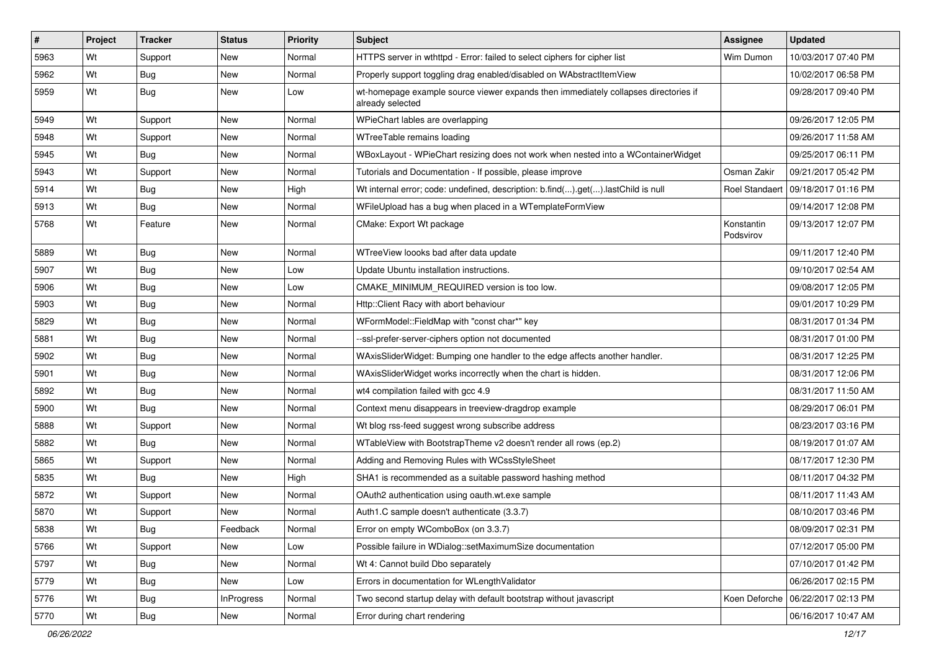| $\vert$ # | Project | <b>Tracker</b> | <b>Status</b>     | Priority | Subject                                                                                                 | <b>Assignee</b>         | <b>Updated</b>                       |
|-----------|---------|----------------|-------------------|----------|---------------------------------------------------------------------------------------------------------|-------------------------|--------------------------------------|
| 5963      | Wt      | Support        | New               | Normal   | HTTPS server in wthttpd - Error: failed to select ciphers for cipher list                               | Wim Dumon               | 10/03/2017 07:40 PM                  |
| 5962      | Wt      | Bug            | New               | Normal   | Properly support toggling drag enabled/disabled on WAbstractItemView                                    |                         | 10/02/2017 06:58 PM                  |
| 5959      | Wt      | <b>Bug</b>     | New               | Low      | wt-homepage example source viewer expands then immediately collapses directories if<br>already selected |                         | 09/28/2017 09:40 PM                  |
| 5949      | Wt      | Support        | <b>New</b>        | Normal   | WPieChart lables are overlapping                                                                        |                         | 09/26/2017 12:05 PM                  |
| 5948      | Wt      | Support        | New               | Normal   | WTreeTable remains loading                                                                              |                         | 09/26/2017 11:58 AM                  |
| 5945      | Wt      | Bug            | New               | Normal   | WBoxLayout - WPieChart resizing does not work when nested into a WContainerWidget                       |                         | 09/25/2017 06:11 PM                  |
| 5943      | Wt      | Support        | <b>New</b>        | Normal   | Tutorials and Documentation - If possible, please improve                                               | Osman Zakir             | 09/21/2017 05:42 PM                  |
| 5914      | Wt      | Bug            | New               | High     | Wt internal error; code: undefined, description: b.find().get().lastChild is null                       |                         | Roel Standaert   09/18/2017 01:16 PM |
| 5913      | Wt      | <b>Bug</b>     | New               | Normal   | WFileUpload has a bug when placed in a WTemplateFormView                                                |                         | 09/14/2017 12:08 PM                  |
| 5768      | Wt      | Feature        | New               | Normal   | CMake: Export Wt package                                                                                | Konstantin<br>Podsvirov | 09/13/2017 12:07 PM                  |
| 5889      | Wt      | Bug            | <b>New</b>        | Normal   | WTreeView loooks bad after data update                                                                  |                         | 09/11/2017 12:40 PM                  |
| 5907      | Wt      | Bug            | New               | Low      | Update Ubuntu installation instructions.                                                                |                         | 09/10/2017 02:54 AM                  |
| 5906      | Wt      | Bug            | New               | Low      | CMAKE MINIMUM REQUIRED version is too low.                                                              |                         | 09/08/2017 12:05 PM                  |
| 5903      | Wt      | <b>Bug</b>     | New               | Normal   | Http::Client Racy with abort behaviour                                                                  |                         | 09/01/2017 10:29 PM                  |
| 5829      | Wt      | Bug            | New               | Normal   | WFormModel::FieldMap with "const char*" key                                                             |                         | 08/31/2017 01:34 PM                  |
| 5881      | Wt      | Bug            | New               | Normal   | --ssl-prefer-server-ciphers option not documented                                                       |                         | 08/31/2017 01:00 PM                  |
| 5902      | Wt      | Bug            | New               | Normal   | WAxisSliderWidget: Bumping one handler to the edge affects another handler.                             |                         | 08/31/2017 12:25 PM                  |
| 5901      | Wt      | Bug            | New               | Normal   | WAxisSliderWidget works incorrectly when the chart is hidden.                                           |                         | 08/31/2017 12:06 PM                  |
| 5892      | Wt      | <b>Bug</b>     | <b>New</b>        | Normal   | wt4 compilation failed with gcc 4.9                                                                     |                         | 08/31/2017 11:50 AM                  |
| 5900      | Wt      | Bug            | New               | Normal   | Context menu disappears in treeview-dragdrop example                                                    |                         | 08/29/2017 06:01 PM                  |
| 5888      | Wt      | Support        | New               | Normal   | Wt blog rss-feed suggest wrong subscribe address                                                        |                         | 08/23/2017 03:16 PM                  |
| 5882      | Wt      | Bug            | New               | Normal   | WTableView with BootstrapTheme v2 doesn't render all rows (ep.2)                                        |                         | 08/19/2017 01:07 AM                  |
| 5865      | Wt      | Support        | New               | Normal   | Adding and Removing Rules with WCssStyleSheet                                                           |                         | 08/17/2017 12:30 PM                  |
| 5835      | Wt      | Bug            | <b>New</b>        | High     | SHA1 is recommended as a suitable password hashing method                                               |                         | 08/11/2017 04:32 PM                  |
| 5872      | Wt      | Support        | New               | Normal   | OAuth2 authentication using oauth.wt.exe sample                                                         |                         | 08/11/2017 11:43 AM                  |
| 5870      | Wt      | Support        | New               | Normal   | Auth1.C sample doesn't authenticate (3.3.7)                                                             |                         | 08/10/2017 03:46 PM                  |
| 5838      | Wt      | <b>Bug</b>     | Feedback          | Normal   | Error on empty WComboBox (on 3.3.7)                                                                     |                         | 08/09/2017 02:31 PM                  |
| 5766      | Wt      | Support        | New               | Low      | Possible failure in WDialog::setMaximumSize documentation                                               |                         | 07/12/2017 05:00 PM                  |
| 5797      | Wt      | <b>Bug</b>     | New               | Normal   | Wt 4: Cannot build Dbo separately                                                                       |                         | 07/10/2017 01:42 PM                  |
| 5779      | Wt      | <b>Bug</b>     | New               | Low      | Errors in documentation for WLengthValidator                                                            |                         | 06/26/2017 02:15 PM                  |
| 5776      | Wt      | <b>Bug</b>     | <b>InProgress</b> | Normal   | Two second startup delay with default bootstrap without javascript                                      |                         | Koen Deforche   06/22/2017 02:13 PM  |
| 5770      | Wt      | <b>Bug</b>     | New               | Normal   | Error during chart rendering                                                                            |                         | 06/16/2017 10:47 AM                  |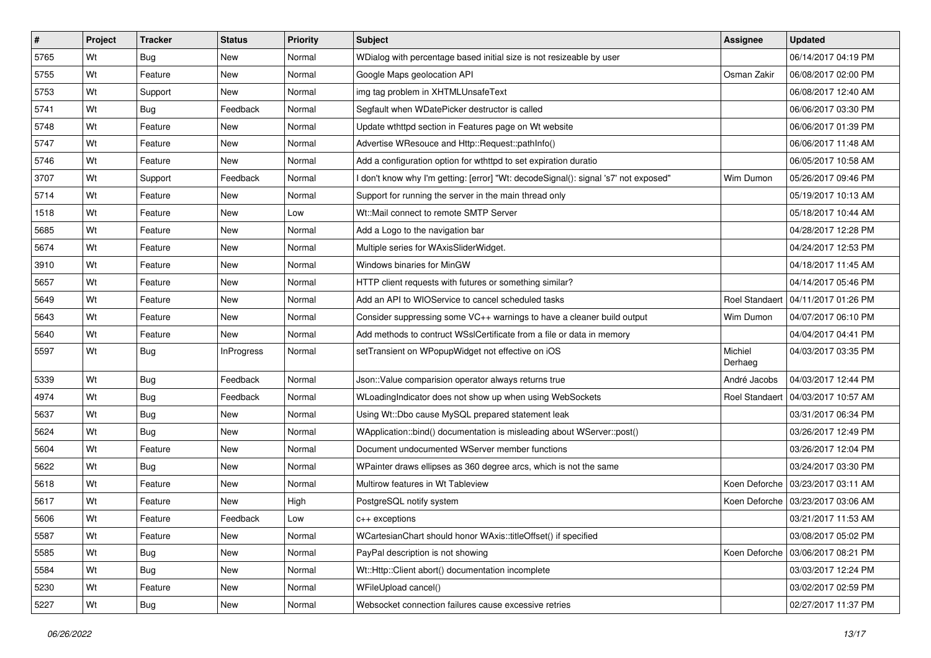| $\sharp$ | Project | <b>Tracker</b> | <b>Status</b>     | <b>Priority</b> | <b>Subject</b>                                                                      | Assignee              | <b>Updated</b>        |
|----------|---------|----------------|-------------------|-----------------|-------------------------------------------------------------------------------------|-----------------------|-----------------------|
| 5765     | Wt      | <b>Bug</b>     | New               | Normal          | WDialog with percentage based initial size is not resizeable by user                |                       | 06/14/2017 04:19 PM   |
| 5755     | Wt      | Feature        | New               | Normal          | Google Maps geolocation API                                                         | Osman Zakir           | 06/08/2017 02:00 PM   |
| 5753     | Wt      | Support        | New               | Normal          | img tag problem in XHTMLUnsafeText                                                  |                       | 06/08/2017 12:40 AM   |
| 5741     | Wt      | <b>Bug</b>     | Feedback          | Normal          | Segfault when WDatePicker destructor is called                                      |                       | 06/06/2017 03:30 PM   |
| 5748     | Wt      | Feature        | New               | Normal          | Update wthttpd section in Features page on Wt website                               |                       | 06/06/2017 01:39 PM   |
| 5747     | Wt      | Feature        | New               | Normal          | Advertise WResouce and Http::Request::pathInfo()                                    |                       | 06/06/2017 11:48 AM   |
| 5746     | Wt      | Feature        | New               | Normal          | Add a configuration option for wthttpd to set expiration duratio                    |                       | 06/05/2017 10:58 AM   |
| 3707     | Wt      | Support        | Feedback          | Normal          | I don't know why I'm getting: [error] "Wt: decodeSignal(): signal 's7' not exposed" | Wim Dumon             | 05/26/2017 09:46 PM   |
| 5714     | Wt      | Feature        | New               | Normal          | Support for running the server in the main thread only                              |                       | 05/19/2017 10:13 AM   |
| 1518     | Wt      | Feature        | New               | Low             | Wt::Mail connect to remote SMTP Server                                              |                       | 05/18/2017 10:44 AM   |
| 5685     | Wt      | Feature        | New               | Normal          | Add a Logo to the navigation bar                                                    |                       | 04/28/2017 12:28 PM   |
| 5674     | Wt      | Feature        | New               | Normal          | Multiple series for WAxisSliderWidget.                                              |                       | 04/24/2017 12:53 PM   |
| 3910     | Wt      | Feature        | New               | Normal          | Windows binaries for MinGW                                                          |                       | 04/18/2017 11:45 AM   |
| 5657     | Wt      | Feature        | New               | Normal          | HTTP client requests with futures or something similar?                             |                       | 04/14/2017 05:46 PM   |
| 5649     | Wt      | Feature        | New               | Normal          | Add an API to WIOService to cancel scheduled tasks                                  | <b>Roel Standaert</b> | l 04/11/2017 01:26 PM |
| 5643     | Wt      | Feature        | New               | Normal          | Consider suppressing some VC++ warnings to have a cleaner build output              | Wim Dumon             | 04/07/2017 06:10 PM   |
| 5640     | Wt      | Feature        | New               | Normal          | Add methods to contruct WSslCertificate from a file or data in memory               |                       | 04/04/2017 04:41 PM   |
| 5597     | Wt      | Bug            | <b>InProgress</b> | Normal          | setTransient on WPopupWidget not effective on iOS                                   | Michiel<br>Derhaeg    | 04/03/2017 03:35 PM   |
| 5339     | Wt      | Bug            | Feedback          | Normal          | Json:: Value comparision operator always returns true                               | André Jacobs          | 04/03/2017 12:44 PM   |
| 4974     | Wt      | <b>Bug</b>     | Feedback          | Normal          | WLoadingIndicator does not show up when using WebSockets                            | <b>Roel Standaert</b> | 04/03/2017 10:57 AM   |
| 5637     | Wt      | Bug            | New               | Normal          | Using Wt::Dbo cause MySQL prepared statement leak                                   |                       | 03/31/2017 06:34 PM   |
| 5624     | Wt      | Bug            | New               | Normal          | WApplication::bind() documentation is misleading about WServer::post()              |                       | 03/26/2017 12:49 PM   |
| 5604     | Wt      | Feature        | New               | Normal          | Document undocumented WServer member functions                                      |                       | 03/26/2017 12:04 PM   |
| 5622     | Wt      | <b>Bug</b>     | New               | Normal          | WPainter draws ellipses as 360 degree arcs, which is not the same                   |                       | 03/24/2017 03:30 PM   |
| 5618     | Wt      | Feature        | New               | Normal          | Multirow features in Wt Tableview                                                   | Koen Deforche         | 03/23/2017 03:11 AM   |
| 5617     | Wt      | Feature        | New               | High            | PostgreSQL notify system                                                            | Koen Deforche         | 03/23/2017 03:06 AM   |
| 5606     | Wt      | Feature        | Feedback          | Low             | $c++$ exceptions                                                                    |                       | 03/21/2017 11:53 AM   |
| 5587     | Wt      | Feature        | New               | Normal          | WCartesianChart should honor WAxis::titleOffset() if specified                      |                       | 03/08/2017 05:02 PM   |
| 5585     | Wt      | <b>Bug</b>     | New               | Normal          | PayPal description is not showing                                                   | Koen Deforche         | 03/06/2017 08:21 PM   |
| 5584     | Wt      | <b>Bug</b>     | New               | Normal          | Wt::Http::Client abort() documentation incomplete                                   |                       | 03/03/2017 12:24 PM   |
| 5230     | Wt      | Feature        | New               | Normal          | WFileUpload cancel()                                                                |                       | 03/02/2017 02:59 PM   |
| 5227     | Wt      | <b>Bug</b>     | New               | Normal          | Websocket connection failures cause excessive retries                               |                       | 02/27/2017 11:37 PM   |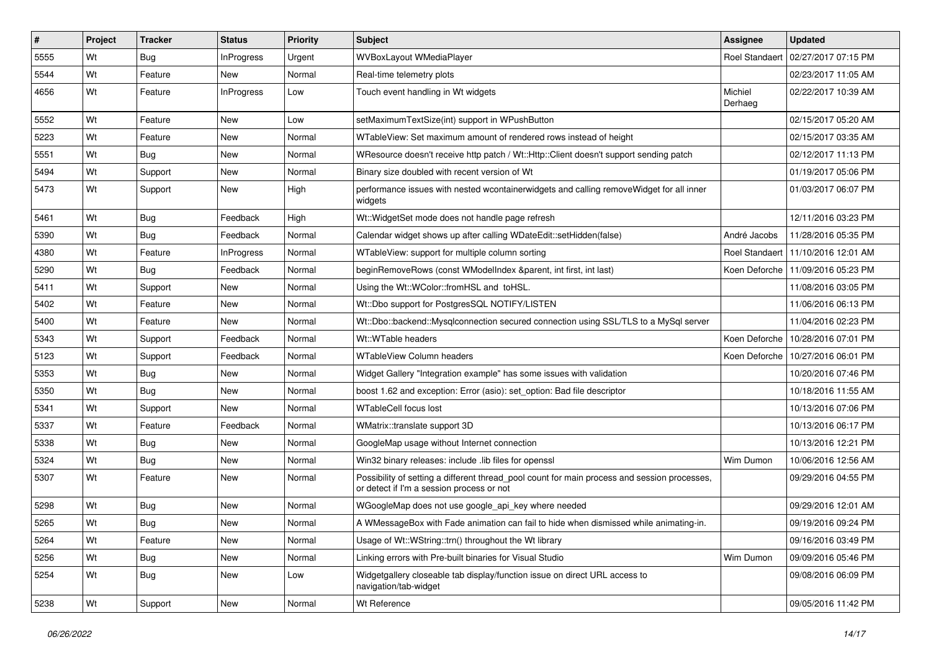| #    | <b>Project</b> | <b>Tracker</b> | <b>Status</b>     | Priority | <b>Subject</b>                                                                                                                            | Assignee              | <b>Updated</b>                      |
|------|----------------|----------------|-------------------|----------|-------------------------------------------------------------------------------------------------------------------------------------------|-----------------------|-------------------------------------|
| 5555 | Wt             | Bug            | <b>InProgress</b> | Urgent   | WVBoxLayout WMediaPlayer                                                                                                                  | <b>Roel Standaert</b> | 02/27/2017 07:15 PM                 |
| 5544 | Wt             | Feature        | <b>New</b>        | Normal   | Real-time telemetry plots                                                                                                                 |                       | 02/23/2017 11:05 AM                 |
| 4656 | Wt             | Feature        | <b>InProgress</b> | Low      | Touch event handling in Wt widgets                                                                                                        | Michiel<br>Derhaeg    | 02/22/2017 10:39 AM                 |
| 5552 | Wt             | Feature        | <b>New</b>        | Low      | setMaximumTextSize(int) support in WPushButton                                                                                            |                       | 02/15/2017 05:20 AM                 |
| 5223 | Wt             | Feature        | New               | Normal   | WTableView: Set maximum amount of rendered rows instead of height                                                                         |                       | 02/15/2017 03:35 AM                 |
| 5551 | Wt             | Bug            | <b>New</b>        | Normal   | WResource doesn't receive http patch / Wt::Http::Client doesn't support sending patch                                                     |                       | 02/12/2017 11:13 PM                 |
| 5494 | Wt             | Support        | New               | Normal   | Binary size doubled with recent version of Wt                                                                                             |                       | 01/19/2017 05:06 PM                 |
| 5473 | Wt             | Support        | New               | High     | performance issues with nested wcontainerwidgets and calling removeWidget for all inner<br>widgets                                        |                       | 01/03/2017 06:07 PM                 |
| 5461 | Wt             | Bug            | Feedback          | High     | Wt:: WidgetSet mode does not handle page refresh                                                                                          |                       | 12/11/2016 03:23 PM                 |
| 5390 | Wt             | Bug            | Feedback          | Normal   | Calendar widget shows up after calling WDateEdit::setHidden(false)                                                                        | André Jacobs          | 11/28/2016 05:35 PM                 |
| 4380 | Wt             | Feature        | <b>InProgress</b> | Normal   | WTableView: support for multiple column sorting                                                                                           | <b>Roel Standaert</b> | 11/10/2016 12:01 AM                 |
| 5290 | Wt             | Bug            | Feedback          | Normal   | beginRemoveRows (const WModelIndex &parent, int first, int last)                                                                          |                       | Koen Deforche   11/09/2016 05:23 PM |
| 5411 | Wt             | Support        | <b>New</b>        | Normal   | Using the Wt::WColor::fromHSL and toHSL.                                                                                                  |                       | 11/08/2016 03:05 PM                 |
| 5402 | Wt             | Feature        | New               | Normal   | Wt::Dbo support for PostgresSQL NOTIFY/LISTEN                                                                                             |                       | 11/06/2016 06:13 PM                 |
| 5400 | Wt             | Feature        | New               | Normal   | Wt::Dbo::backend::Mysqlconnection secured connection using SSL/TLS to a MySql server                                                      |                       | 11/04/2016 02:23 PM                 |
| 5343 | Wt             | Support        | Feedback          | Normal   | Wt::WTable headers                                                                                                                        | Koen Deforche         | 10/28/2016 07:01 PM                 |
| 5123 | Wt             | Support        | Feedback          | Normal   | <b>WTableView Column headers</b>                                                                                                          | Koen Deforche         | 10/27/2016 06:01 PM                 |
| 5353 | Wt             | Bug            | <b>New</b>        | Normal   | Widget Gallery "Integration example" has some issues with validation                                                                      |                       | 10/20/2016 07:46 PM                 |
| 5350 | Wt             | Bug            | New               | Normal   | boost 1.62 and exception: Error (asio): set option: Bad file descriptor                                                                   |                       | 10/18/2016 11:55 AM                 |
| 5341 | Wt             | Support        | New               | Normal   | <b>WTableCell focus lost</b>                                                                                                              |                       | 10/13/2016 07:06 PM                 |
| 5337 | Wt             | Feature        | Feedback          | Normal   | WMatrix::translate support 3D                                                                                                             |                       | 10/13/2016 06:17 PM                 |
| 5338 | Wt             | Bug            | New               | Normal   | GoogleMap usage without Internet connection                                                                                               |                       | 10/13/2016 12:21 PM                 |
| 5324 | Wt             | Bug            | New               | Normal   | Win32 binary releases: include .lib files for openssl                                                                                     | Wim Dumon             | 10/06/2016 12:56 AM                 |
| 5307 | Wt             | Feature        | New               | Normal   | Possibility of setting a different thread_pool count for main process and session processes,<br>or detect if I'm a session process or not |                       | 09/29/2016 04:55 PM                 |
| 5298 | Wt             | Bug            | <b>New</b>        | Normal   | WGoogleMap does not use google_api_key where needed                                                                                       |                       | 09/29/2016 12:01 AM                 |
| 5265 | Wt             | Bug            | New               | Normal   | A WMessageBox with Fade animation can fail to hide when dismissed while animating-in.                                                     |                       | 09/19/2016 09:24 PM                 |
| 5264 | Wt             | Feature        | New               | Normal   | Usage of Wt::WString::trn() throughout the Wt library                                                                                     |                       | 09/16/2016 03:49 PM                 |
| 5256 | Wt             | <b>Bug</b>     | New               | Normal   | Linking errors with Pre-built binaries for Visual Studio                                                                                  | Wim Dumon             | 09/09/2016 05:46 PM                 |
| 5254 | Wt             | <b>Bug</b>     | New               | Low      | Widgetgallery closeable tab display/function issue on direct URL access to<br>navigation/tab-widget                                       |                       | 09/08/2016 06:09 PM                 |
| 5238 | Wt             | Support        | New               | Normal   | Wt Reference                                                                                                                              |                       | 09/05/2016 11:42 PM                 |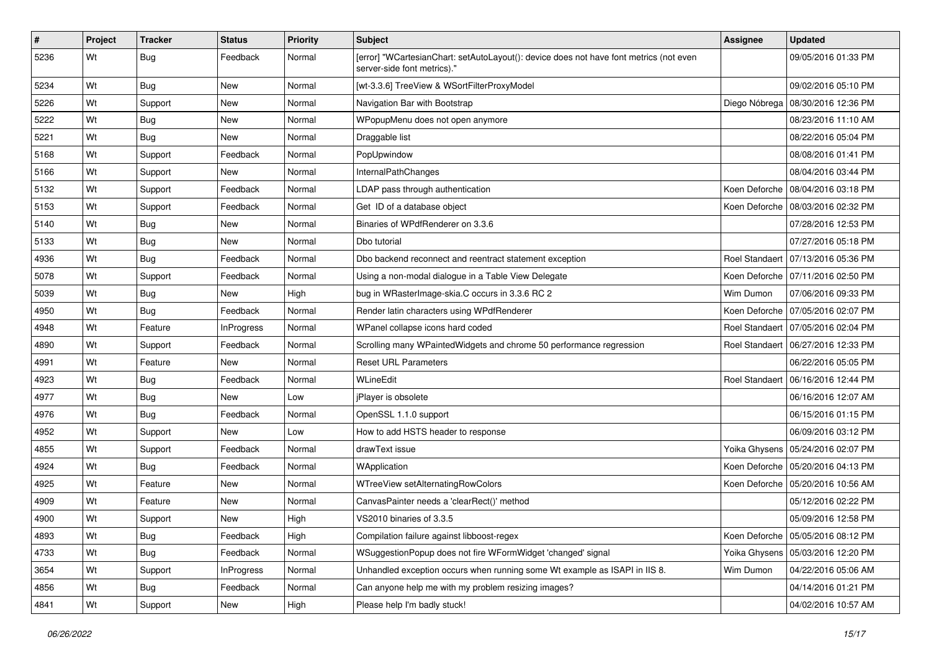| #    | Project | <b>Tracker</b> | <b>Status</b>     | <b>Priority</b> | Subject                                                                                                               | <b>Assignee</b>       | <b>Updated</b>                       |
|------|---------|----------------|-------------------|-----------------|-----------------------------------------------------------------------------------------------------------------------|-----------------------|--------------------------------------|
| 5236 | Wt      | <b>Bug</b>     | Feedback          | Normal          | [error] "WCartesianChart: setAutoLayout(): device does not have font metrics (not even<br>server-side font metrics)." |                       | 09/05/2016 01:33 PM                  |
| 5234 | Wt      | Bug            | New               | Normal          | [wt-3.3.6] TreeView & WSortFilterProxyModel                                                                           |                       | 09/02/2016 05:10 PM                  |
| 5226 | Wt      | Support        | <b>New</b>        | Normal          | Navigation Bar with Bootstrap                                                                                         |                       | Diego Nóbrega   08/30/2016 12:36 PM  |
| 5222 | Wt      | <b>Bug</b>     | New               | Normal          | WPopupMenu does not open anymore                                                                                      |                       | 08/23/2016 11:10 AM                  |
| 5221 | Wt      | Bug            | New               | Normal          | Draggable list                                                                                                        |                       | 08/22/2016 05:04 PM                  |
| 5168 | Wt      | Support        | Feedback          | Normal          | PopUpwindow                                                                                                           |                       | 08/08/2016 01:41 PM                  |
| 5166 | Wt      | Support        | New               | Normal          | InternalPathChanges                                                                                                   |                       | 08/04/2016 03:44 PM                  |
| 5132 | Wt      | Support        | Feedback          | Normal          | LDAP pass through authentication                                                                                      |                       | Koen Deforche   08/04/2016 03:18 PM  |
| 5153 | Wt      | Support        | Feedback          | Normal          | Get ID of a database object                                                                                           |                       | Koen Deforche   08/03/2016 02:32 PM  |
| 5140 | Wt      | Bug            | New               | Normal          | Binaries of WPdfRenderer on 3.3.6                                                                                     |                       | 07/28/2016 12:53 PM                  |
| 5133 | Wt      | <b>Bug</b>     | New               | Normal          | Dbo tutorial                                                                                                          |                       | 07/27/2016 05:18 PM                  |
| 4936 | Wt      | <b>Bug</b>     | Feedback          | Normal          | Dbo backend reconnect and reentract statement exception                                                               | <b>Roel Standaert</b> | 07/13/2016 05:36 PM                  |
| 5078 | Wt      | Support        | Feedback          | Normal          | Using a non-modal dialogue in a Table View Delegate                                                                   |                       | Koen Deforche   07/11/2016 02:50 PM  |
| 5039 | Wt      | <b>Bug</b>     | <b>New</b>        | High            | bug in WRasterImage-skia.C occurs in 3.3.6 RC 2                                                                       | Wim Dumon             | 07/06/2016 09:33 PM                  |
| 4950 | Wt      | Bug            | Feedback          | Normal          | Render latin characters using WPdfRenderer                                                                            |                       | Koen Deforche 07/05/2016 02:07 PM    |
| 4948 | Wt      | Feature        | <b>InProgress</b> | Normal          | WPanel collapse icons hard coded                                                                                      |                       | Roel Standaert   07/05/2016 02:04 PM |
| 4890 | Wt      | Support        | Feedback          | Normal          | Scrolling many WPaintedWidgets and chrome 50 performance regression                                                   |                       | Roel Standaert   06/27/2016 12:33 PM |
| 4991 | Wt      | Feature        | New               | Normal          | <b>Reset URL Parameters</b>                                                                                           |                       | 06/22/2016 05:05 PM                  |
| 4923 | Wt      | Bug            | Feedback          | Normal          | WLineEdit                                                                                                             |                       | Roel Standaert   06/16/2016 12:44 PM |
| 4977 | Wt      | <b>Bug</b>     | New               | Low             | jPlayer is obsolete                                                                                                   |                       | 06/16/2016 12:07 AM                  |
| 4976 | Wt      | <b>Bug</b>     | Feedback          | Normal          | OpenSSL 1.1.0 support                                                                                                 |                       | 06/15/2016 01:15 PM                  |
| 4952 | Wt      | Support        | New               | Low             | How to add HSTS header to response                                                                                    |                       | 06/09/2016 03:12 PM                  |
| 4855 | Wt      | Support        | Feedback          | Normal          | drawText issue                                                                                                        |                       | Yoika Ghysens   05/24/2016 02:07 PM  |
| 4924 | Wt      | Bug            | Feedback          | Normal          | WApplication                                                                                                          |                       | Koen Deforche   05/20/2016 04:13 PM  |
| 4925 | Wt      | Feature        | <b>New</b>        | Normal          | WTreeView setAlternatingRowColors                                                                                     |                       | Koen Deforche   05/20/2016 10:56 AM  |
| 4909 | Wt      | Feature        | New               | Normal          | CanvasPainter needs a 'clearRect()' method                                                                            |                       | 05/12/2016 02:22 PM                  |
| 4900 | Wt      | Support        | New               | High            | VS2010 binaries of 3.3.5                                                                                              |                       | 05/09/2016 12:58 PM                  |
| 4893 | Wt      | <b>Bug</b>     | Feedback          | High            | Compilation failure against libboost-regex                                                                            |                       | Koen Deforche   05/05/2016 08:12 PM  |
| 4733 | Wt      | <b>Bug</b>     | Feedback          | Normal          | WSuggestionPopup does not fire WFormWidget 'changed' signal                                                           |                       | Yoika Ghysens   05/03/2016 12:20 PM  |
| 3654 | Wt      | Support        | InProgress        | Normal          | Unhandled exception occurs when running some Wt example as ISAPI in IIS 8.                                            | Wim Dumon             | 04/22/2016 05:06 AM                  |
| 4856 | Wt      | <b>Bug</b>     | Feedback          | Normal          | Can anyone help me with my problem resizing images?                                                                   |                       | 04/14/2016 01:21 PM                  |
| 4841 | Wt      | Support        | New               | High            | Please help I'm badly stuck!                                                                                          |                       | 04/02/2016 10:57 AM                  |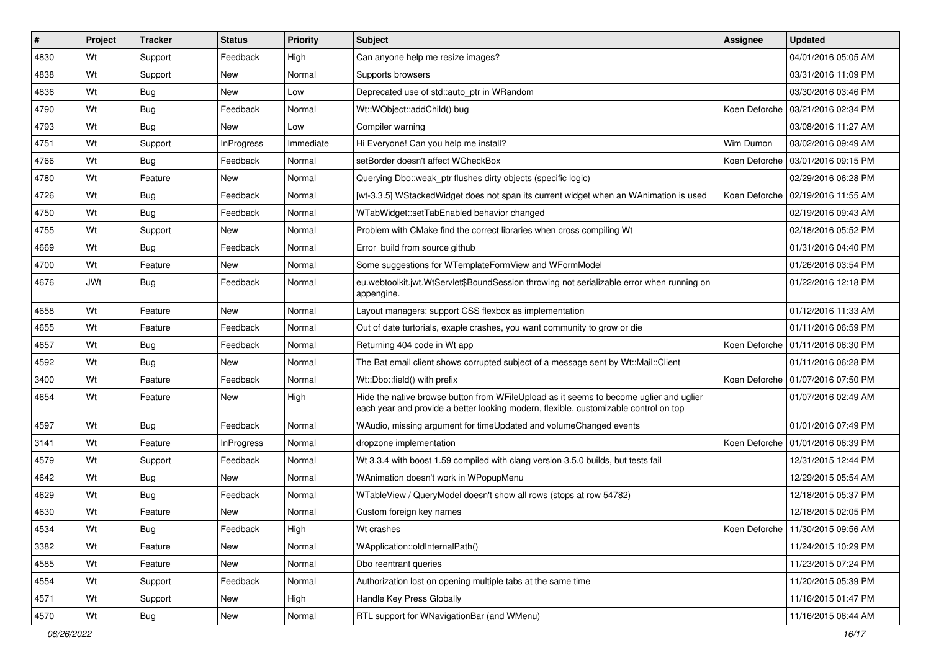| #    | Project    | <b>Tracker</b> | <b>Status</b>     | <b>Priority</b> | <b>Subject</b>                                                                                                                                                                 | <b>Assignee</b> | <b>Updated</b>                      |
|------|------------|----------------|-------------------|-----------------|--------------------------------------------------------------------------------------------------------------------------------------------------------------------------------|-----------------|-------------------------------------|
| 4830 | Wt         | Support        | Feedback          | High            | Can anyone help me resize images?                                                                                                                                              |                 | 04/01/2016 05:05 AM                 |
| 4838 | Wt         | Support        | New               | Normal          | Supports browsers                                                                                                                                                              |                 | 03/31/2016 11:09 PM                 |
| 4836 | Wt         | <b>Bug</b>     | New               | Low             | Deprecated use of std::auto ptr in WRandom                                                                                                                                     |                 | 03/30/2016 03:46 PM                 |
| 4790 | Wt         | <b>Bug</b>     | Feedback          | Normal          | Wt::WObject::addChild() bug                                                                                                                                                    | Koen Deforche   | 03/21/2016 02:34 PM                 |
| 4793 | Wt         | Bug            | New               | Low             | Compiler warning                                                                                                                                                               |                 | 03/08/2016 11:27 AM                 |
| 4751 | Wt         | Support        | <b>InProgress</b> | Immediate       | Hi Everyone! Can you help me install?                                                                                                                                          | Wim Dumon       | 03/02/2016 09:49 AM                 |
| 4766 | Wt         | Bug            | Feedback          | Normal          | setBorder doesn't affect WCheckBox                                                                                                                                             | Koen Deforche   | 03/01/2016 09:15 PM                 |
| 4780 | Wt         | Feature        | New               | Normal          | Querying Dbo:: weak ptr flushes dirty objects (specific logic)                                                                                                                 |                 | 02/29/2016 06:28 PM                 |
| 4726 | Wt         | <b>Bug</b>     | Feedback          | Normal          | [wt-3.3.5] WStackedWidget does not span its current widget when an WAnimation is used                                                                                          | Koen Deforche   | l 02/19/2016 11:55 AM               |
| 4750 | Wt         | Bug            | Feedback          | Normal          | WTabWidget::setTabEnabled behavior changed                                                                                                                                     |                 | 02/19/2016 09:43 AM                 |
| 4755 | Wt         | Support        | New               | Normal          | Problem with CMake find the correct libraries when cross compiling Wt                                                                                                          |                 | 02/18/2016 05:52 PM                 |
| 4669 | Wt         | <b>Bug</b>     | Feedback          | Normal          | Error build from source github                                                                                                                                                 |                 | 01/31/2016 04:40 PM                 |
| 4700 | Wt         | Feature        | New               | Normal          | Some suggestions for WTemplateFormView and WFormModel                                                                                                                          |                 | 01/26/2016 03:54 PM                 |
| 4676 | <b>JWt</b> | Bug            | Feedback          | Normal          | eu.webtoolkit.jwt.WtServlet\$BoundSession throwing not serializable error when running on<br>appengine.                                                                        |                 | 01/22/2016 12:18 PM                 |
| 4658 | Wt         | Feature        | New               | Normal          | Layout managers: support CSS flexbox as implementation                                                                                                                         |                 | 01/12/2016 11:33 AM                 |
| 4655 | Wt         | Feature        | Feedback          | Normal          | Out of date turtorials, exaple crashes, you want community to grow or die                                                                                                      |                 | 01/11/2016 06:59 PM                 |
| 4657 | Wt         | <b>Bug</b>     | Feedback          | Normal          | Returning 404 code in Wt app                                                                                                                                                   | Koen Deforche   | 01/11/2016 06:30 PM                 |
| 4592 | Wt         | <b>Bug</b>     | New               | Normal          | The Bat email client shows corrupted subject of a message sent by Wt::Mail::Client                                                                                             |                 | 01/11/2016 06:28 PM                 |
| 3400 | Wt         | Feature        | Feedback          | Normal          | Wt::Dbo::field() with prefix                                                                                                                                                   |                 | Koen Deforche   01/07/2016 07:50 PM |
| 4654 | Wt         | Feature        | New               | High            | Hide the native browse button from WFileUpload as it seems to become uglier and uglier<br>each year and provide a better looking modern, flexible, customizable control on top |                 | 01/07/2016 02:49 AM                 |
| 4597 | Wt         | <b>Bug</b>     | Feedback          | Normal          | WAudio, missing argument for timeUpdated and volumeChanged events                                                                                                              |                 | 01/01/2016 07:49 PM                 |
| 3141 | Wt         | Feature        | InProgress        | Normal          | dropzone implementation                                                                                                                                                        | Koen Deforche   | 01/01/2016 06:39 PM                 |
| 4579 | Wt         | Support        | Feedback          | Normal          | Wt 3.3.4 with boost 1.59 compiled with clang version 3.5.0 builds, but tests fail                                                                                              |                 | 12/31/2015 12:44 PM                 |
| 4642 | Wt         | Bug            | New               | Normal          | WAnimation doesn't work in WPopupMenu                                                                                                                                          |                 | 12/29/2015 05:54 AM                 |
| 4629 | Wt         | <b>Bug</b>     | Feedback          | Normal          | WTableView / QueryModel doesn't show all rows (stops at row 54782)                                                                                                             |                 | 12/18/2015 05:37 PM                 |
| 4630 | Wt         | Feature        | New               | Normal          | Custom foreign key names                                                                                                                                                       |                 | 12/18/2015 02:05 PM                 |
| 4534 | Wt         | Bug            | Feedback          | High            | Wt crashes                                                                                                                                                                     |                 | Koen Deforche   11/30/2015 09:56 AM |
| 3382 | Wt         | Feature        | New               | Normal          | WApplication::oldInternalPath()                                                                                                                                                |                 | 11/24/2015 10:29 PM                 |
| 4585 | Wt         | Feature        | New               | Normal          | Dbo reentrant queries                                                                                                                                                          |                 | 11/23/2015 07:24 PM                 |
| 4554 | Wt         | Support        | Feedback          | Normal          | Authorization lost on opening multiple tabs at the same time                                                                                                                   |                 | 11/20/2015 05:39 PM                 |
| 4571 | Wt         | Support        | New               | High            | Handle Key Press Globally                                                                                                                                                      |                 | 11/16/2015 01:47 PM                 |
| 4570 | Wt         | <b>Bug</b>     | New               | Normal          | RTL support for WNavigationBar (and WMenu)                                                                                                                                     |                 | 11/16/2015 06:44 AM                 |